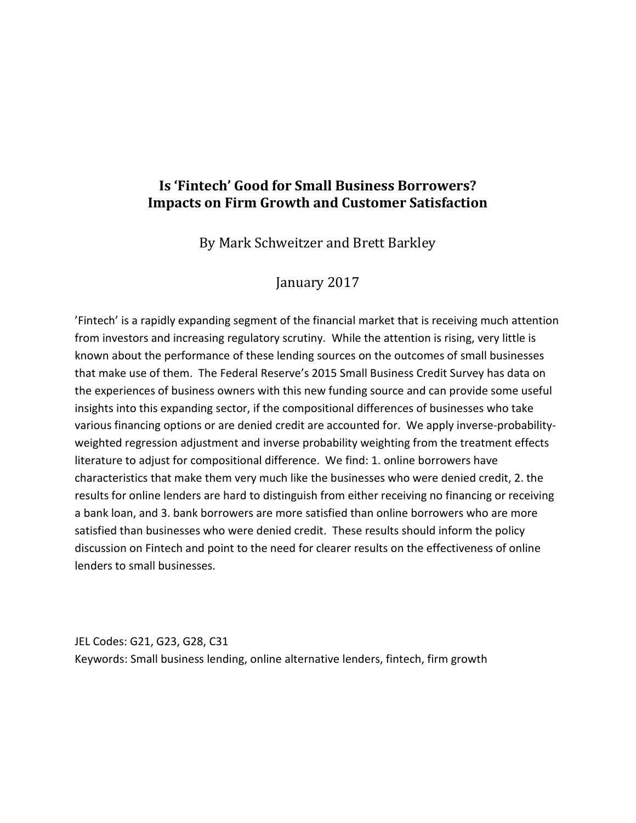# **Is 'Fintech' Good for Small Business Borrowers? Impacts on Firm Growth and Customer Satisfaction**

By Mark Schweitzer and Brett Barkley

## January 2017

'Fintech' is a rapidly expanding segment of the financial market that is receiving much attention from investors and increasing regulatory scrutiny. While the attention is rising, very little is known about the performance of these lending sources on the outcomes of small businesses that make use of them. The Federal Reserve's 2015 Small Business Credit Survey has data on the experiences of business owners with this new funding source and can provide some useful insights into this expanding sector, if the compositional differences of businesses who take various financing options or are denied credit are accounted for. We apply inverse-probabilityweighted regression adjustment and inverse probability weighting from the treatment effects literature to adjust for compositional difference. We find: 1. online borrowers have characteristics that make them very much like the businesses who were denied credit, 2. the results for online lenders are hard to distinguish from either receiving no financing or receiving a bank loan, and 3. bank borrowers are more satisfied than online borrowers who are more satisfied than businesses who were denied credit. These results should inform the policy discussion on Fintech and point to the need for clearer results on the effectiveness of online lenders to small businesses.

JEL Codes: G21, G23, G28, C31 Keywords: Small business lending, online alternative lenders, fintech, firm growth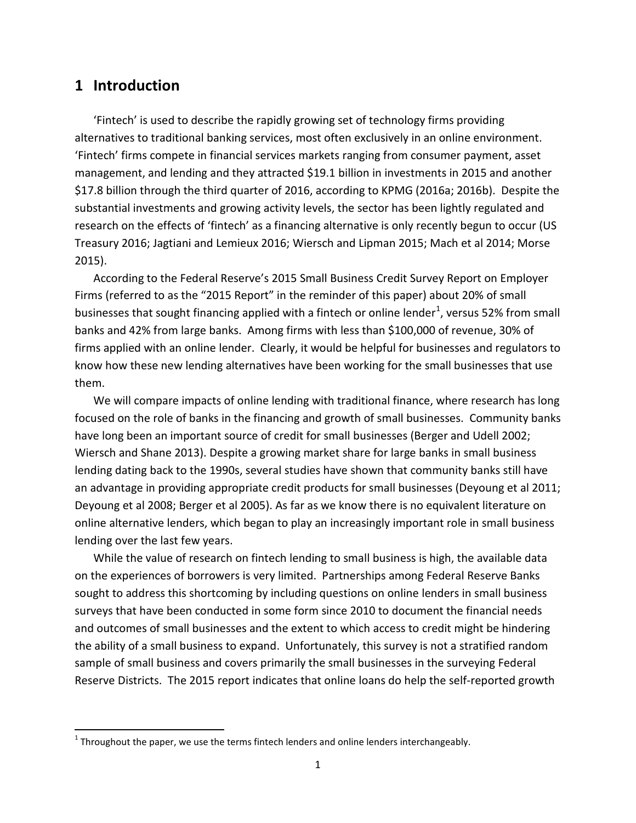## **1 Introduction**

l

'Fintech' is used to describe the rapidly growing set of technology firms providing alternatives to traditional banking services, most often exclusively in an online environment. 'Fintech' firms compete in financial services markets ranging from consumer payment, asset management, and lending and they attracted \$19.1 billion in investments in 2015 and another \$17.8 billion through the third quarter of 2016, according to KPMG (2016a; 2016b). Despite the substantial investments and growing activity levels, the sector has been lightly regulated and research on the effects of 'fintech' as a financing alternative is only recently begun to occur (US Treasury 2016; Jagtiani and Lemieux 2016; Wiersch and Lipman 2015; Mach et al 2014; Morse 2015).

According to the Federal Reserve's 2015 Small Business Credit Survey Report on Employer Firms (referred to as the "2015 Report" in the reminder of this paper) about 20% of small businesses that sought financing applied with a fintech or online lender<sup>[1](#page-1-0)</sup>, versus 52% from small banks and 42% from large banks. Among firms with less than \$100,000 of revenue, 30% of firms applied with an online lender. Clearly, it would be helpful for businesses and regulators to know how these new lending alternatives have been working for the small businesses that use them.

We will compare impacts of online lending with traditional finance, where research has long focused on the role of banks in the financing and growth of small businesses. Community banks have long been an important source of credit for small businesses (Berger and Udell 2002; Wiersch and Shane 2013). Despite a growing market share for large banks in small business lending dating back to the 1990s, several studies have shown that community banks still have an advantage in providing appropriate credit products for small businesses (Deyoung et al 2011; Deyoung et al 2008; Berger et al 2005). As far as we know there is no equivalent literature on online alternative lenders, which began to play an increasingly important role in small business lending over the last few years.

While the value of research on fintech lending to small business is high, the available data on the experiences of borrowers is very limited. Partnerships among Federal Reserve Banks sought to address this shortcoming by including questions on online lenders in small business surveys that have been conducted in some form since 2010 to document the financial needs and outcomes of small businesses and the extent to which access to credit might be hindering the ability of a small business to expand. Unfortunately, this survey is not a stratified random sample of small business and covers primarily the small businesses in the surveying Federal Reserve Districts. The 2015 report indicates that online loans do help the self-reported growth

<span id="page-1-0"></span> $1$  Throughout the paper, we use the terms fintech lenders and online lenders interchangeably.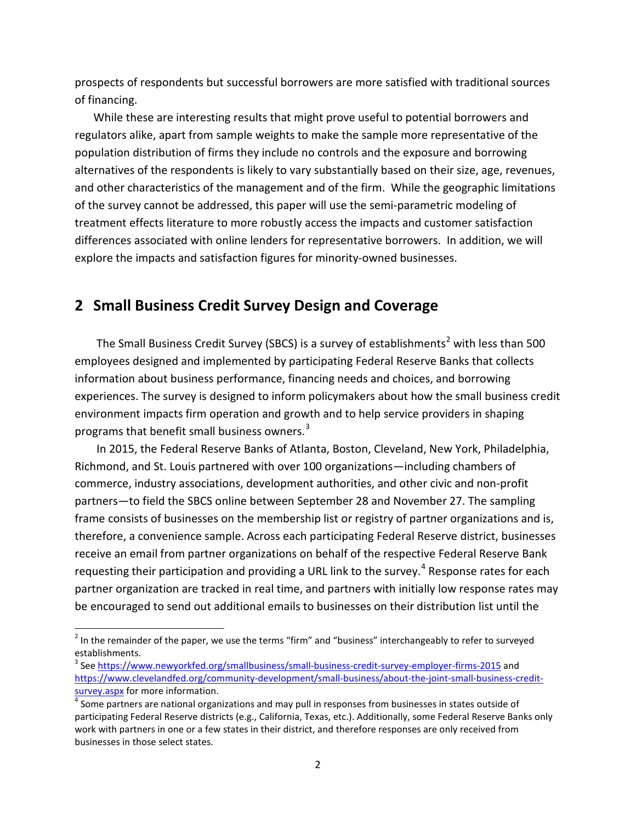prospects of respondents but successful borrowers are more satisfied with traditional sources of financing.

While these are interesting results that might prove useful to potential borrowers and regulators alike, apart from sample weights to make the sample more representative of the population distribution of firms they include no controls and the exposure and borrowing alternatives of the respondents is likely to vary substantially based on their size, age, revenues, and other characteristics of the management and of the firm. While the geographic limitations of the survey cannot be addressed, this paper will use the semi-parametric modeling of treatment effects literature to more robustly access the impacts and customer satisfaction differences associated with online lenders for representative borrowers. In addition, we will explore the impacts and satisfaction figures for minority-owned businesses.

# **2 Small Business Credit Survey Design and Coverage**

The Small Business Credit Survey (SBCS) is a survey of establishments<sup>[2](#page-2-0)</sup> with less than 500 employees designed and implemented by participating Federal Reserve Banks that collects information about business performance, financing needs and choices, and borrowing experiences. The survey is designed to inform policymakers about how the small business credit environment impacts firm operation and growth and to help service providers in shaping programs that benefit small business owners.<sup>[3](#page-2-1)</sup>

In 2015, the Federal Reserve Banks of Atlanta, Boston, Cleveland, New York, Philadelphia, Richmond, and St. Louis partnered with over 100 organizations—including chambers of commerce, industry associations, development authorities, and other civic and non-profit partners—to field the SBCS online between September 28 and November 27. The sampling frame consists of businesses on the membership list or registry of partner organizations and is, therefore, a convenience sample. Across each participating Federal Reserve district, businesses receive an email from partner organizations on behalf of the respective Federal Reserve Bank requesting their participation and providing a URL link to the survey.<sup>[4](#page-2-2)</sup> Response rates for each partner organization are tracked in real time, and partners with initially low response rates may be encouraged to send out additional emails to businesses on their distribution list until the

 $\overline{\phantom{a}}$ 

<span id="page-2-0"></span> $2$  In the remainder of the paper, we use the terms "firm" and "business" interchangeably to refer to surveyed establishments.

<span id="page-2-1"></span><sup>&</sup>lt;sup>3</sup> See<https://www.newyorkfed.org/smallbusiness/small-business-credit-survey-employer-firms-2015> and [https://www.clevelandfed.org/community-development/small-business/about-the-joint-small-business-credit](https://www.clevelandfed.org/community-development/small-business/about-the-joint-small-business-credit-survey.aspx)[survey.aspx](https://www.clevelandfed.org/community-development/small-business/about-the-joint-small-business-credit-survey.aspx) for more information.<br><sup>4</sup> Some partners are national organizations and may pull in responses from businesses in states outside of

<span id="page-2-2"></span>participating Federal Reserve districts (e.g., California, Texas, etc.). Additionally, some Federal Reserve Banks only work with partners in one or a few states in their district, and therefore responses are only received from businesses in those select states.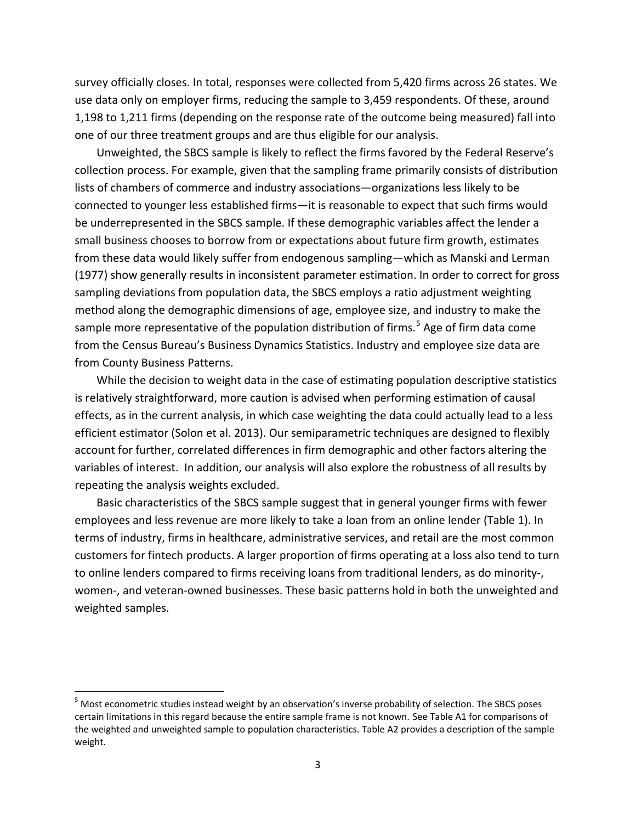survey officially closes. In total, responses were collected from 5,420 firms across 26 states. We use data only on employer firms, reducing the sample to 3,459 respondents. Of these, around 1,198 to 1,211 firms (depending on the response rate of the outcome being measured) fall into one of our three treatment groups and are thus eligible for our analysis.

Unweighted, the SBCS sample is likely to reflect the firms favored by the Federal Reserve's collection process. For example, given that the sampling frame primarily consists of distribution lists of chambers of commerce and industry associations—organizations less likely to be connected to younger less established firms—it is reasonable to expect that such firms would be underrepresented in the SBCS sample. If these demographic variables affect the lender a small business chooses to borrow from or expectations about future firm growth, estimates from these data would likely suffer from endogenous sampling—which as Manski and Lerman (1977) show generally results in inconsistent parameter estimation. In order to correct for gross sampling deviations from population data, the SBCS employs a ratio adjustment weighting method along the demographic dimensions of age, employee size, and industry to make the sample more representative of the population distribution of firms.<sup>[5](#page-3-0)</sup> Age of firm data come from the Census Bureau's Business Dynamics Statistics. Industry and employee size data are from County Business Patterns.

While the decision to weight data in the case of estimating population descriptive statistics is relatively straightforward, more caution is advised when performing estimation of causal effects, as in the current analysis, in which case weighting the data could actually lead to a less efficient estimator (Solon et al. 2013). Our semiparametric techniques are designed to flexibly account for further, correlated differences in firm demographic and other factors altering the variables of interest. In addition, our analysis will also explore the robustness of all results by repeating the analysis weights excluded.

Basic characteristics of the SBCS sample suggest that in general younger firms with fewer employees and less revenue are more likely to take a loan from an online lender (Table 1). In terms of industry, firms in healthcare, administrative services, and retail are the most common customers for fintech products. A larger proportion of firms operating at a loss also tend to turn to online lenders compared to firms receiving loans from traditional lenders, as do minority-, women-, and veteran-owned businesses. These basic patterns hold in both the unweighted and weighted samples.

 $\overline{\phantom{a}}$ 

<span id="page-3-0"></span> $<sup>5</sup>$  Most econometric studies instead weight by an observation's inverse probability of selection. The SBCS poses</sup> certain limitations in this regard because the entire sample frame is not known. See Table A1 for comparisons of the weighted and unweighted sample to population characteristics. Table A2 provides a description of the sample weight.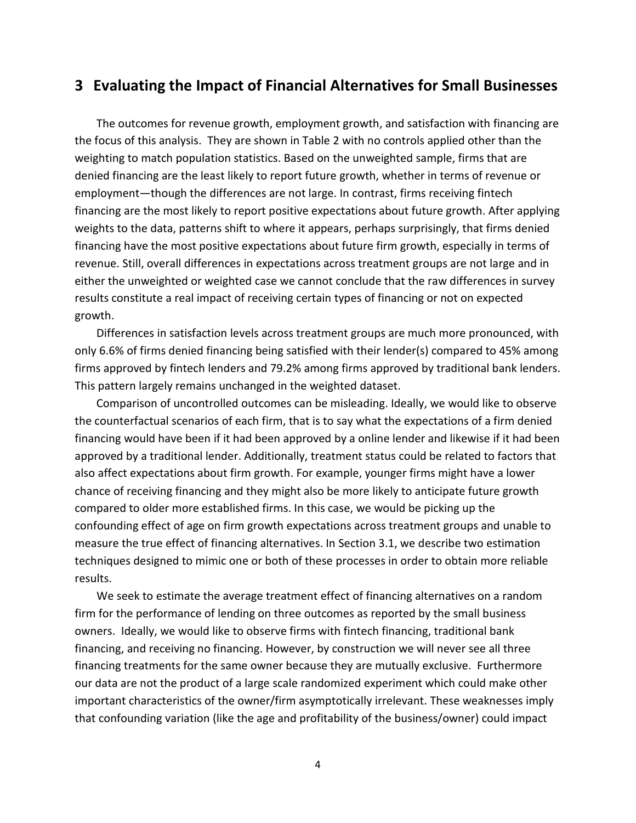## **3 Evaluating the Impact of Financial Alternatives for Small Businesses**

The outcomes for revenue growth, employment growth, and satisfaction with financing are the focus of this analysis. They are shown in Table 2 with no controls applied other than the weighting to match population statistics. Based on the unweighted sample, firms that are denied financing are the least likely to report future growth, whether in terms of revenue or employment—though the differences are not large. In contrast, firms receiving fintech financing are the most likely to report positive expectations about future growth. After applying weights to the data, patterns shift to where it appears, perhaps surprisingly, that firms denied financing have the most positive expectations about future firm growth, especially in terms of revenue. Still, overall differences in expectations across treatment groups are not large and in either the unweighted or weighted case we cannot conclude that the raw differences in survey results constitute a real impact of receiving certain types of financing or not on expected growth.

Differences in satisfaction levels across treatment groups are much more pronounced, with only 6.6% of firms denied financing being satisfied with their lender(s) compared to 45% among firms approved by fintech lenders and 79.2% among firms approved by traditional bank lenders. This pattern largely remains unchanged in the weighted dataset.

Comparison of uncontrolled outcomes can be misleading. Ideally, we would like to observe the counterfactual scenarios of each firm, that is to say what the expectations of a firm denied financing would have been if it had been approved by a online lender and likewise if it had been approved by a traditional lender. Additionally, treatment status could be related to factors that also affect expectations about firm growth. For example, younger firms might have a lower chance of receiving financing and they might also be more likely to anticipate future growth compared to older more established firms. In this case, we would be picking up the confounding effect of age on firm growth expectations across treatment groups and unable to measure the true effect of financing alternatives. In Section 3.1, we describe two estimation techniques designed to mimic one or both of these processes in order to obtain more reliable results.

We seek to estimate the average treatment effect of financing alternatives on a random firm for the performance of lending on three outcomes as reported by the small business owners. Ideally, we would like to observe firms with fintech financing, traditional bank financing, and receiving no financing. However, by construction we will never see all three financing treatments for the same owner because they are mutually exclusive. Furthermore our data are not the product of a large scale randomized experiment which could make other important characteristics of the owner/firm asymptotically irrelevant. These weaknesses imply that confounding variation (like the age and profitability of the business/owner) could impact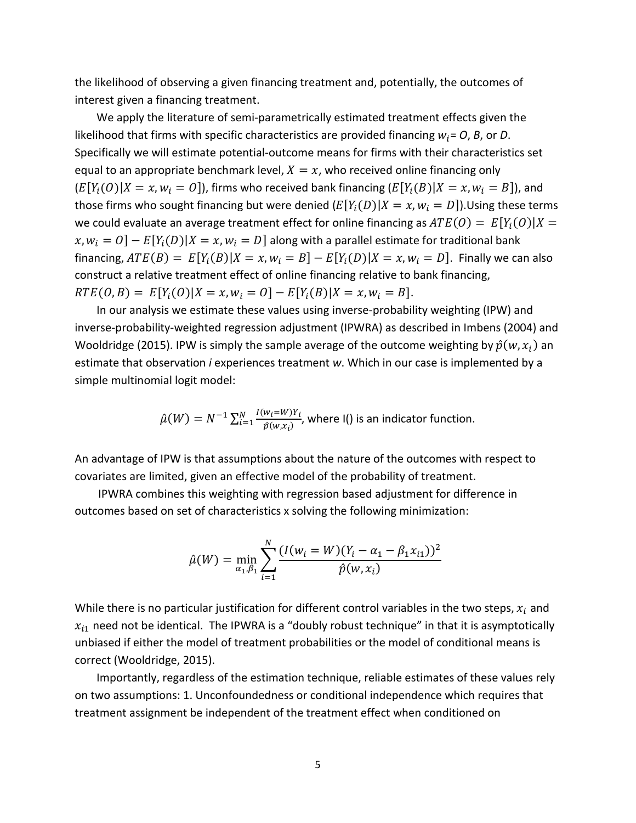the likelihood of observing a given financing treatment and, potentially, the outcomes of interest given a financing treatment.

We apply the literature of semi-parametrically estimated treatment effects given the likelihood that firms with specific characteristics are provided financing  $w_i = O$ , *B*, or *D*. Specifically we will estimate potential-outcome means for firms with their characteristics set equal to an appropriate benchmark level,  $X = x$ , who received online financing only  $(E[Y_i(0)|X=x, w_i=0])$ , firms who received bank financing  $(E[Y_i(B)|X=x, w_i=B])$ , and those firms who sought financing but were denied  $(E[Y_i(D)|X = x, w_i = D])$ . Using these terms we could evaluate an average treatment effect for online financing as  $ATE(0) = E[Y_i(0) | X =$  $x, w_i = 0$  -  $E[Y_i(D)|X = x, w_i = D]$  along with a parallel estimate for traditional bank financing,  $ATE(B) = E[Y_i(B)|X = x, w_i = B] - E[Y_i(D)|X = x, w_i = D]$ . Finally we can also construct a relative treatment effect of online financing relative to bank financing,  $RTE(O, B) = E[Y_i(O)|X = x, w_i = O] - E[Y_i(B)|X = x, w_i = B].$ 

In our analysis we estimate these values using inverse-probability weighting (IPW) and inverse-probability-weighted regression adjustment (IPWRA) as described in Imbens (2004) and Wooldridge (2015). IPW is simply the sample average of the outcome weighting by  $\hat{p}(w, x_i)$  an estimate that observation *i* experiences treatment *w*. Which in our case is implemented by a simple multinomial logit model:

> $\hat{\mu}(W) = N^{-1} \sum_{i=1}^{N} \frac{I(w_i = W)Y_i}{\hat{p}(w, x_i)}$  $\frac{N}{i=1} \frac{I(W_i-W)I_i}{\hat{p}(W,X_i)}$ , where I() is an indicator function.

An advantage of IPW is that assumptions about the nature of the outcomes with respect to covariates are limited, given an effective model of the probability of treatment.

IPWRA combines this weighting with regression based adjustment for difference in outcomes based on set of characteristics x solving the following minimization:

$$
\hat{\mu}(W) = \min_{\alpha_1, \beta_1} \sum_{i=1}^N \frac{(I(w_i = W)(Y_i - \alpha_1 - \beta_1 x_{i1}))^2}{\hat{p}(w, x_i)}
$$

While there is no particular justification for different control variables in the two steps,  $x_i$  and  $x_{i1}$  need not be identical. The IPWRA is a "doubly robust technique" in that it is asymptotically unbiased if either the model of treatment probabilities or the model of conditional means is correct (Wooldridge, 2015).

Importantly, regardless of the estimation technique, reliable estimates of these values rely on two assumptions: 1. Unconfoundedness or conditional independence which requires that treatment assignment be independent of the treatment effect when conditioned on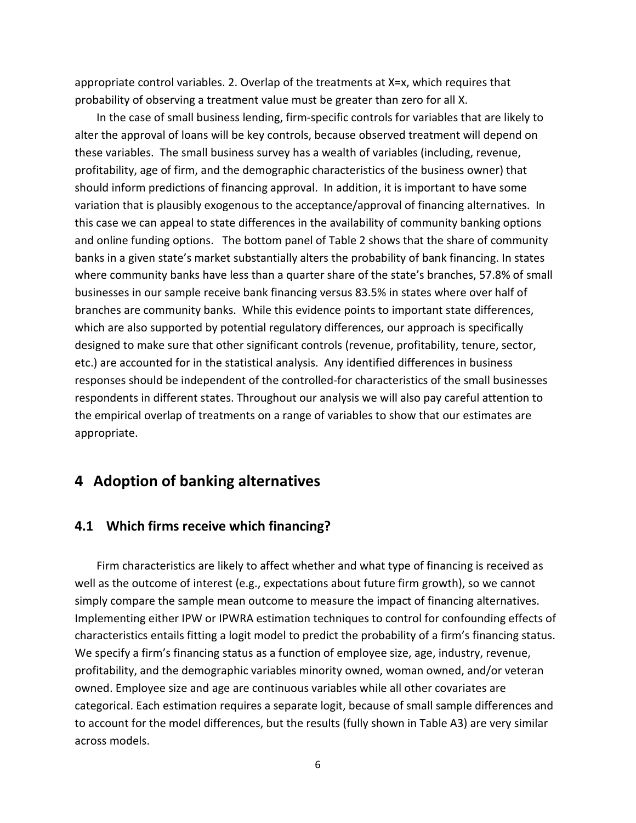appropriate control variables. 2. Overlap of the treatments at X=x, which requires that probability of observing a treatment value must be greater than zero for all X.

In the case of small business lending, firm-specific controls for variables that are likely to alter the approval of loans will be key controls, because observed treatment will depend on these variables. The small business survey has a wealth of variables (including, revenue, profitability, age of firm, and the demographic characteristics of the business owner) that should inform predictions of financing approval. In addition, it is important to have some variation that is plausibly exogenous to the acceptance/approval of financing alternatives. In this case we can appeal to state differences in the availability of community banking options and online funding options. The bottom panel of Table 2 shows that the share of community banks in a given state's market substantially alters the probability of bank financing. In states where community banks have less than a quarter share of the state's branches, 57.8% of small businesses in our sample receive bank financing versus 83.5% in states where over half of branches are community banks. While this evidence points to important state differences, which are also supported by potential regulatory differences, our approach is specifically designed to make sure that other significant controls (revenue, profitability, tenure, sector, etc.) are accounted for in the statistical analysis. Any identified differences in business responses should be independent of the controlled-for characteristics of the small businesses respondents in different states. Throughout our analysis we will also pay careful attention to the empirical overlap of treatments on a range of variables to show that our estimates are appropriate.

# **4 Adoption of banking alternatives**

#### **4.1 Which firms receive which financing?**

Firm characteristics are likely to affect whether and what type of financing is received as well as the outcome of interest (e.g., expectations about future firm growth), so we cannot simply compare the sample mean outcome to measure the impact of financing alternatives. Implementing either IPW or IPWRA estimation techniques to control for confounding effects of characteristics entails fitting a logit model to predict the probability of a firm's financing status. We specify a firm's financing status as a function of employee size, age, industry, revenue, profitability, and the demographic variables minority owned, woman owned, and/or veteran owned. Employee size and age are continuous variables while all other covariates are categorical. Each estimation requires a separate logit, because of small sample differences and to account for the model differences, but the results (fully shown in Table A3) are very similar across models.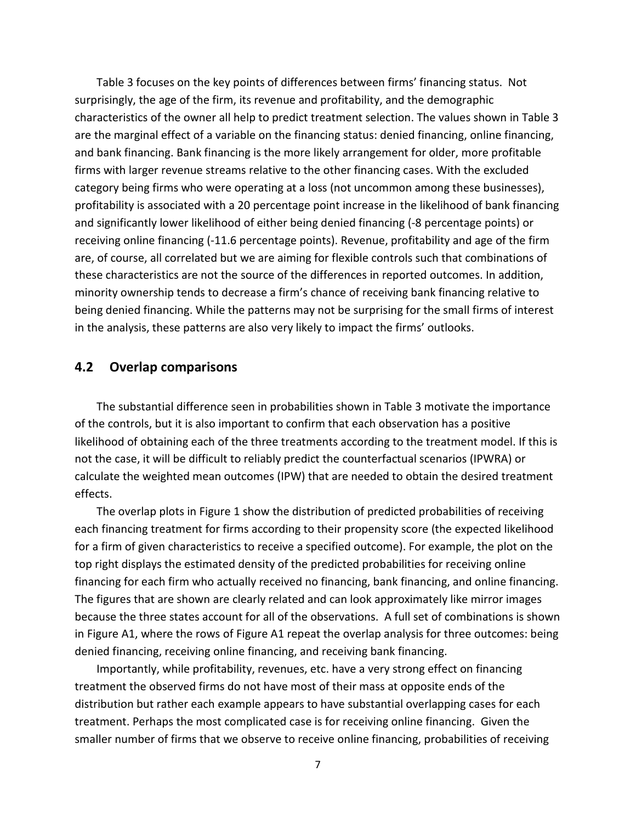Table 3 focuses on the key points of differences between firms' financing status. Not surprisingly, the age of the firm, its revenue and profitability, and the demographic characteristics of the owner all help to predict treatment selection. The values shown in Table 3 are the marginal effect of a variable on the financing status: denied financing, online financing, and bank financing. Bank financing is the more likely arrangement for older, more profitable firms with larger revenue streams relative to the other financing cases. With the excluded category being firms who were operating at a loss (not uncommon among these businesses), profitability is associated with a 20 percentage point increase in the likelihood of bank financing and significantly lower likelihood of either being denied financing (-8 percentage points) or receiving online financing (-11.6 percentage points). Revenue, profitability and age of the firm are, of course, all correlated but we are aiming for flexible controls such that combinations of these characteristics are not the source of the differences in reported outcomes. In addition, minority ownership tends to decrease a firm's chance of receiving bank financing relative to being denied financing. While the patterns may not be surprising for the small firms of interest in the analysis, these patterns are also very likely to impact the firms' outlooks.

### **4.2 Overlap comparisons**

The substantial difference seen in probabilities shown in Table 3 motivate the importance of the controls, but it is also important to confirm that each observation has a positive likelihood of obtaining each of the three treatments according to the treatment model. If this is not the case, it will be difficult to reliably predict the counterfactual scenarios (IPWRA) or calculate the weighted mean outcomes (IPW) that are needed to obtain the desired treatment effects.

The overlap plots in Figure 1 show the distribution of predicted probabilities of receiving each financing treatment for firms according to their propensity score (the expected likelihood for a firm of given characteristics to receive a specified outcome). For example, the plot on the top right displays the estimated density of the predicted probabilities for receiving online financing for each firm who actually received no financing, bank financing, and online financing. The figures that are shown are clearly related and can look approximately like mirror images because the three states account for all of the observations. A full set of combinations is shown in Figure A1, where the rows of Figure A1 repeat the overlap analysis for three outcomes: being denied financing, receiving online financing, and receiving bank financing.

Importantly, while profitability, revenues, etc. have a very strong effect on financing treatment the observed firms do not have most of their mass at opposite ends of the distribution but rather each example appears to have substantial overlapping cases for each treatment. Perhaps the most complicated case is for receiving online financing. Given the smaller number of firms that we observe to receive online financing, probabilities of receiving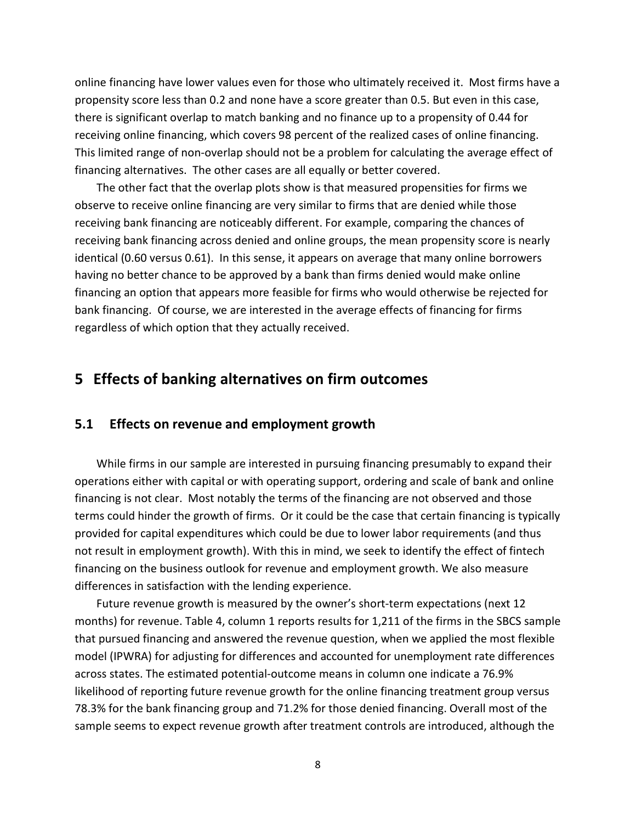online financing have lower values even for those who ultimately received it. Most firms have a propensity score less than 0.2 and none have a score greater than 0.5. But even in this case, there is significant overlap to match banking and no finance up to a propensity of 0.44 for receiving online financing, which covers 98 percent of the realized cases of online financing. This limited range of non-overlap should not be a problem for calculating the average effect of financing alternatives. The other cases are all equally or better covered.

The other fact that the overlap plots show is that measured propensities for firms we observe to receive online financing are very similar to firms that are denied while those receiving bank financing are noticeably different. For example, comparing the chances of receiving bank financing across denied and online groups, the mean propensity score is nearly identical (0.60 versus 0.61). In this sense, it appears on average that many online borrowers having no better chance to be approved by a bank than firms denied would make online financing an option that appears more feasible for firms who would otherwise be rejected for bank financing. Of course, we are interested in the average effects of financing for firms regardless of which option that they actually received.

# **5 Effects of banking alternatives on firm outcomes**

#### **5.1 Effects on revenue and employment growth**

While firms in our sample are interested in pursuing financing presumably to expand their operations either with capital or with operating support, ordering and scale of bank and online financing is not clear. Most notably the terms of the financing are not observed and those terms could hinder the growth of firms. Or it could be the case that certain financing is typically provided for capital expenditures which could be due to lower labor requirements (and thus not result in employment growth). With this in mind, we seek to identify the effect of fintech financing on the business outlook for revenue and employment growth. We also measure differences in satisfaction with the lending experience.

Future revenue growth is measured by the owner's short-term expectations (next 12 months) for revenue. Table 4, column 1 reports results for 1,211 of the firms in the SBCS sample that pursued financing and answered the revenue question, when we applied the most flexible model (IPWRA) for adjusting for differences and accounted for unemployment rate differences across states. The estimated potential-outcome means in column one indicate a 76.9% likelihood of reporting future revenue growth for the online financing treatment group versus 78.3% for the bank financing group and 71.2% for those denied financing. Overall most of the sample seems to expect revenue growth after treatment controls are introduced, although the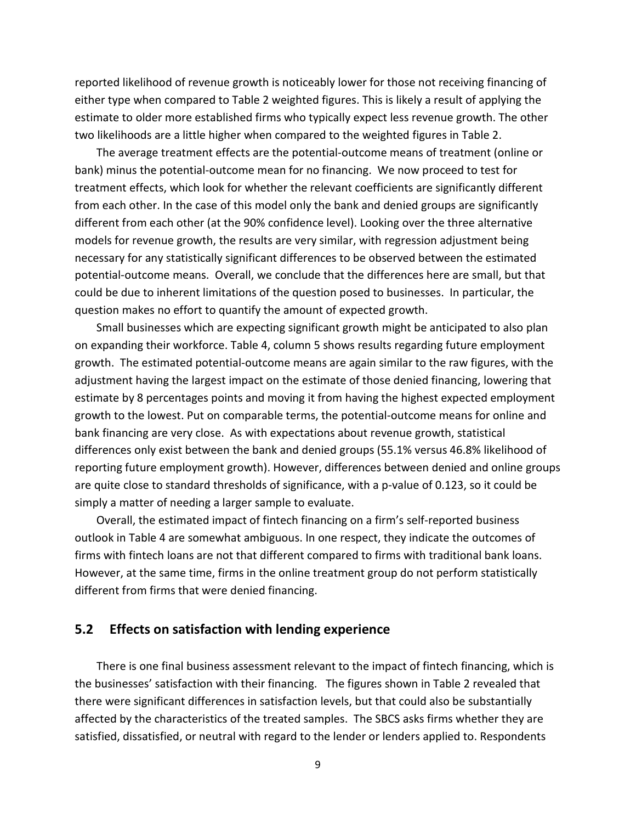reported likelihood of revenue growth is noticeably lower for those not receiving financing of either type when compared to Table 2 weighted figures. This is likely a result of applying the estimate to older more established firms who typically expect less revenue growth. The other two likelihoods are a little higher when compared to the weighted figures in Table 2.

The average treatment effects are the potential-outcome means of treatment (online or bank) minus the potential-outcome mean for no financing. We now proceed to test for treatment effects, which look for whether the relevant coefficients are significantly different from each other. In the case of this model only the bank and denied groups are significantly different from each other (at the 90% confidence level). Looking over the three alternative models for revenue growth, the results are very similar, with regression adjustment being necessary for any statistically significant differences to be observed between the estimated potential-outcome means. Overall, we conclude that the differences here are small, but that could be due to inherent limitations of the question posed to businesses. In particular, the question makes no effort to quantify the amount of expected growth.

Small businesses which are expecting significant growth might be anticipated to also plan on expanding their workforce. Table 4, column 5 shows results regarding future employment growth. The estimated potential-outcome means are again similar to the raw figures, with the adjustment having the largest impact on the estimate of those denied financing, lowering that estimate by 8 percentages points and moving it from having the highest expected employment growth to the lowest. Put on comparable terms, the potential-outcome means for online and bank financing are very close. As with expectations about revenue growth, statistical differences only exist between the bank and denied groups (55.1% versus 46.8% likelihood of reporting future employment growth). However, differences between denied and online groups are quite close to standard thresholds of significance, with a p-value of 0.123, so it could be simply a matter of needing a larger sample to evaluate.

Overall, the estimated impact of fintech financing on a firm's self-reported business outlook in Table 4 are somewhat ambiguous. In one respect, they indicate the outcomes of firms with fintech loans are not that different compared to firms with traditional bank loans. However, at the same time, firms in the online treatment group do not perform statistically different from firms that were denied financing.

#### **5.2 Effects on satisfaction with lending experience**

There is one final business assessment relevant to the impact of fintech financing, which is the businesses' satisfaction with their financing. The figures shown in Table 2 revealed that there were significant differences in satisfaction levels, but that could also be substantially affected by the characteristics of the treated samples. The SBCS asks firms whether they are satisfied, dissatisfied, or neutral with regard to the lender or lenders applied to. Respondents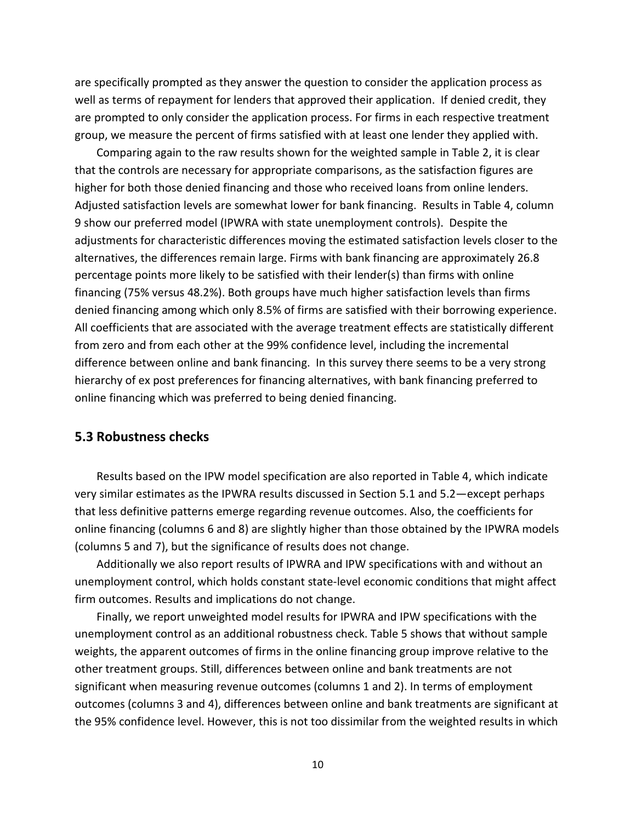are specifically prompted as they answer the question to consider the application process as well as terms of repayment for lenders that approved their application. If denied credit, they are prompted to only consider the application process. For firms in each respective treatment group, we measure the percent of firms satisfied with at least one lender they applied with.

Comparing again to the raw results shown for the weighted sample in Table 2, it is clear that the controls are necessary for appropriate comparisons, as the satisfaction figures are higher for both those denied financing and those who received loans from online lenders. Adjusted satisfaction levels are somewhat lower for bank financing. Results in Table 4, column 9 show our preferred model (IPWRA with state unemployment controls). Despite the adjustments for characteristic differences moving the estimated satisfaction levels closer to the alternatives, the differences remain large. Firms with bank financing are approximately 26.8 percentage points more likely to be satisfied with their lender(s) than firms with online financing (75% versus 48.2%). Both groups have much higher satisfaction levels than firms denied financing among which only 8.5% of firms are satisfied with their borrowing experience. All coefficients that are associated with the average treatment effects are statistically different from zero and from each other at the 99% confidence level, including the incremental difference between online and bank financing. In this survey there seems to be a very strong hierarchy of ex post preferences for financing alternatives, with bank financing preferred to online financing which was preferred to being denied financing.

#### **5.3 Robustness checks**

Results based on the IPW model specification are also reported in Table 4, which indicate very similar estimates as the IPWRA results discussed in Section 5.1 and 5.2—except perhaps that less definitive patterns emerge regarding revenue outcomes. Also, the coefficients for online financing (columns 6 and 8) are slightly higher than those obtained by the IPWRA models (columns 5 and 7), but the significance of results does not change.

Additionally we also report results of IPWRA and IPW specifications with and without an unemployment control, which holds constant state-level economic conditions that might affect firm outcomes. Results and implications do not change.

Finally, we report unweighted model results for IPWRA and IPW specifications with the unemployment control as an additional robustness check. Table 5 shows that without sample weights, the apparent outcomes of firms in the online financing group improve relative to the other treatment groups. Still, differences between online and bank treatments are not significant when measuring revenue outcomes (columns 1 and 2). In terms of employment outcomes (columns 3 and 4), differences between online and bank treatments are significant at the 95% confidence level. However, this is not too dissimilar from the weighted results in which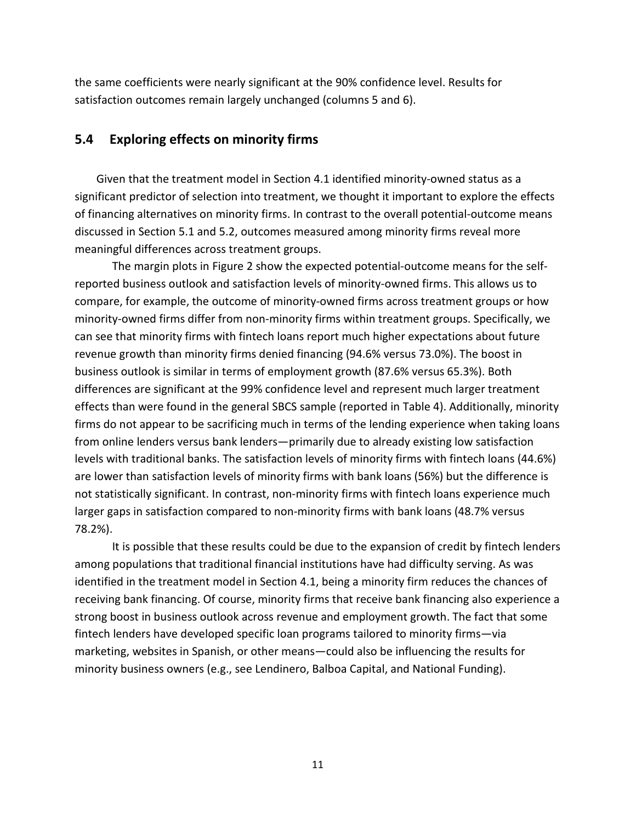the same coefficients were nearly significant at the 90% confidence level. Results for satisfaction outcomes remain largely unchanged (columns 5 and 6).

## **5.4 Exploring effects on minority firms**

Given that the treatment model in Section 4.1 identified minority-owned status as a significant predictor of selection into treatment, we thought it important to explore the effects of financing alternatives on minority firms. In contrast to the overall potential-outcome means discussed in Section 5.1 and 5.2, outcomes measured among minority firms reveal more meaningful differences across treatment groups.

The margin plots in Figure 2 show the expected potential-outcome means for the selfreported business outlook and satisfaction levels of minority-owned firms. This allows us to compare, for example, the outcome of minority-owned firms across treatment groups or how minority-owned firms differ from non-minority firms within treatment groups. Specifically, we can see that minority firms with fintech loans report much higher expectations about future revenue growth than minority firms denied financing (94.6% versus 73.0%). The boost in business outlook is similar in terms of employment growth (87.6% versus 65.3%). Both differences are significant at the 99% confidence level and represent much larger treatment effects than were found in the general SBCS sample (reported in Table 4). Additionally, minority firms do not appear to be sacrificing much in terms of the lending experience when taking loans from online lenders versus bank lenders—primarily due to already existing low satisfaction levels with traditional banks. The satisfaction levels of minority firms with fintech loans (44.6%) are lower than satisfaction levels of minority firms with bank loans (56%) but the difference is not statistically significant. In contrast, non-minority firms with fintech loans experience much larger gaps in satisfaction compared to non-minority firms with bank loans (48.7% versus 78.2%).

It is possible that these results could be due to the expansion of credit by fintech lenders among populations that traditional financial institutions have had difficulty serving. As was identified in the treatment model in Section 4.1, being a minority firm reduces the chances of receiving bank financing. Of course, minority firms that receive bank financing also experience a strong boost in business outlook across revenue and employment growth. The fact that some fintech lenders have developed specific loan programs tailored to minority firms—via marketing, websites in Spanish, or other means—could also be influencing the results for minority business owners (e.g., see Lendinero, Balboa Capital, and National Funding).

11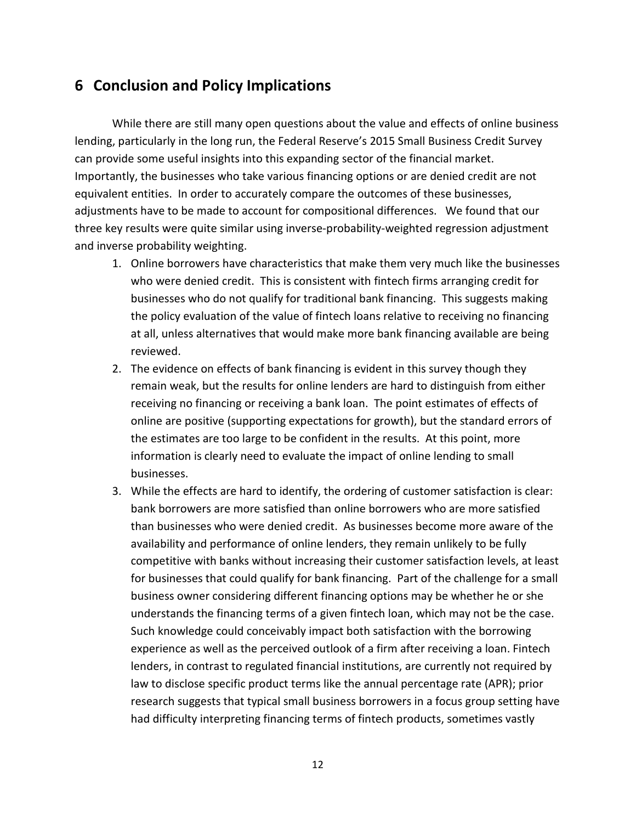# **6 Conclusion and Policy Implications**

While there are still many open questions about the value and effects of online business lending, particularly in the long run, the Federal Reserve's 2015 Small Business Credit Survey can provide some useful insights into this expanding sector of the financial market. Importantly, the businesses who take various financing options or are denied credit are not equivalent entities. In order to accurately compare the outcomes of these businesses, adjustments have to be made to account for compositional differences. We found that our three key results were quite similar using inverse-probability-weighted regression adjustment and inverse probability weighting.

- 1. Online borrowers have characteristics that make them very much like the businesses who were denied credit. This is consistent with fintech firms arranging credit for businesses who do not qualify for traditional bank financing. This suggests making the policy evaluation of the value of fintech loans relative to receiving no financing at all, unless alternatives that would make more bank financing available are being reviewed.
- 2. The evidence on effects of bank financing is evident in this survey though they remain weak, but the results for online lenders are hard to distinguish from either receiving no financing or receiving a bank loan. The point estimates of effects of online are positive (supporting expectations for growth), but the standard errors of the estimates are too large to be confident in the results. At this point, more information is clearly need to evaluate the impact of online lending to small businesses.
- 3. While the effects are hard to identify, the ordering of customer satisfaction is clear: bank borrowers are more satisfied than online borrowers who are more satisfied than businesses who were denied credit. As businesses become more aware of the availability and performance of online lenders, they remain unlikely to be fully competitive with banks without increasing their customer satisfaction levels, at least for businesses that could qualify for bank financing. Part of the challenge for a small business owner considering different financing options may be whether he or she understands the financing terms of a given fintech loan, which may not be the case. Such knowledge could conceivably impact both satisfaction with the borrowing experience as well as the perceived outlook of a firm after receiving a loan. Fintech lenders, in contrast to regulated financial institutions, are currently not required by law to disclose specific product terms like the annual percentage rate (APR); prior research suggests that typical small business borrowers in a focus group setting have had difficulty interpreting financing terms of fintech products, sometimes vastly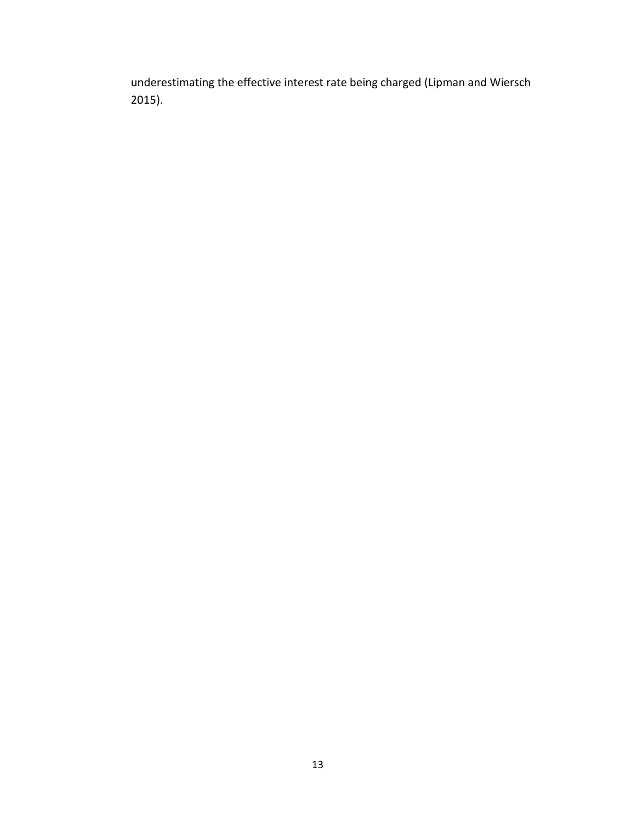underestimating the effective interest rate being charged (Lipman and Wiersch 2015).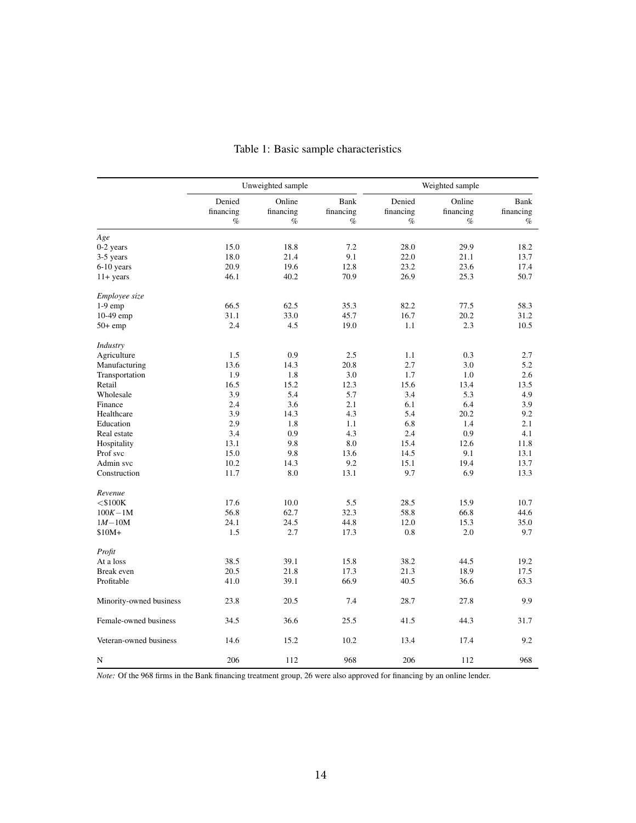|                         |                             | Unweighted sample           |                           | Weighted sample             |                             |                           |  |  |
|-------------------------|-----------------------------|-----------------------------|---------------------------|-----------------------------|-----------------------------|---------------------------|--|--|
|                         | Denied<br>financing<br>$\%$ | Online<br>financing<br>$\%$ | Bank<br>financing<br>$\%$ | Denied<br>financing<br>$\%$ | Online<br>financing<br>$\%$ | Bank<br>financing<br>$\%$ |  |  |
| Age                     |                             |                             |                           |                             |                             |                           |  |  |
| $0-2$ years             | 15.0                        | 18.8                        | 7.2                       | 28.0                        | 29.9                        | 18.2                      |  |  |
| 3-5 years               | 18.0                        | 21.4                        | 9.1                       | 22.0                        | 21.1                        | 13.7                      |  |  |
| $6-10$ years            | 20.9                        | 19.6                        | 12.8                      | 23.2                        | 23.6                        | 17.4                      |  |  |
| $11 + years$            | 46.1                        | 40.2                        | 70.9                      | 26.9                        | 25.3                        | 50.7                      |  |  |
| Employee size           |                             |                             |                           |                             |                             |                           |  |  |
| $1-9$ emp               | 66.5                        | 62.5                        | 35.3                      | 82.2                        | 77.5                        | 58.3                      |  |  |
| 10-49 emp               | 31.1                        | 33.0                        | 45.7                      | 16.7                        | 20.2                        | 31.2                      |  |  |
| $50+$ emp               | 2.4                         | 4.5                         | 19.0                      | 1.1                         | 2.3                         | 10.5                      |  |  |
| Industry                |                             |                             |                           |                             |                             |                           |  |  |
| Agriculture             | 1.5                         | 0.9                         | 2.5                       | 1.1                         | 0.3                         | 2.7                       |  |  |
| Manufacturing           | 13.6                        | 14.3                        | 20.8                      | 2.7                         | 3.0                         | 5.2                       |  |  |
| Transportation          | 1.9                         | 1.8                         | 3.0                       | 1.7                         | 1.0                         | 2.6                       |  |  |
| Retail                  | 16.5                        | 15.2                        | 12.3                      | 15.6                        | 13.4                        | 13.5                      |  |  |
| Wholesale               | 3.9                         | 5.4                         | 5.7                       | 3.4                         | 5.3                         | 4.9                       |  |  |
| Finance                 | 2.4                         | 3.6                         | 2.1                       | 6.1                         | 6.4                         | 3.9                       |  |  |
| Healthcare              | 3.9                         | 14.3                        | 4.3                       | 5.4                         | 20.2                        | 9.2                       |  |  |
| Education               | 2.9                         | 1.8                         | 1.1                       | 6.8                         | 1.4                         | 2.1                       |  |  |
| Real estate             | 3.4                         | 0.9                         | 4.3                       | 2.4                         | 0.9                         | 4.1                       |  |  |
| Hospitality             | 13.1                        | 9.8                         | 8.0                       | 15.4                        | 12.6                        | 11.8                      |  |  |
| Prof svc                | 15.0                        | 9.8                         | 13.6                      | 14.5                        | 9.1                         | 13.1                      |  |  |
| Admin svc               | 10.2                        | 14.3                        | 9.2                       | 15.1                        | 19.4                        | 13.7                      |  |  |
| Construction            | 11.7                        | 8.0                         | 13.1                      | 9.7                         | 6.9                         | 13.3                      |  |  |
| Revenue                 |                             |                             |                           |                             |                             |                           |  |  |
| $<$ \$100K              | 17.6                        | 10.0                        | 5.5                       | 28.5                        | 15.9                        | 10.7                      |  |  |
| $100K-1M$               | 56.8                        | 62.7                        | 32.3                      | 58.8                        | 66.8                        | 44.6                      |  |  |
| $1M-10M$                | 24.1                        | 24.5                        | 44.8                      | 12.0                        | 15.3                        | 35.0                      |  |  |
| $$10M+$                 | 1.5                         | 2.7                         | 17.3                      | 0.8                         | 2.0                         | 9.7                       |  |  |
| Profit                  |                             |                             |                           |                             |                             |                           |  |  |
| At a loss               | 38.5                        | 39.1                        | 15.8                      | 38.2                        | 44.5                        | 19.2                      |  |  |
| Break even              | 20.5                        | 21.8                        | 17.3                      | 21.3                        | 18.9                        | 17.5                      |  |  |
| Profitable              | 41.0                        | 39.1                        | 66.9                      | 40.5                        | 36.6                        | 63.3                      |  |  |
| Minority-owned business | 23.8                        | 20.5                        | 7.4                       | 28.7                        | 27.8                        | 9.9                       |  |  |
| Female-owned business   | 34.5                        | 36.6                        | 25.5                      | 41.5                        | 44.3                        | 31.7                      |  |  |
| Veteran-owned business  | 14.6                        | 15.2                        | 10.2                      | 13.4                        | 17.4                        | 9.2                       |  |  |
| N                       | 206                         | 112                         | 968                       | 206                         | 112                         | 968                       |  |  |

## Table 1: Basic sample characteristics

*Note:* Of the 968 firms in the Bank financing treatment group, 26 were also approved for financing by an online lender.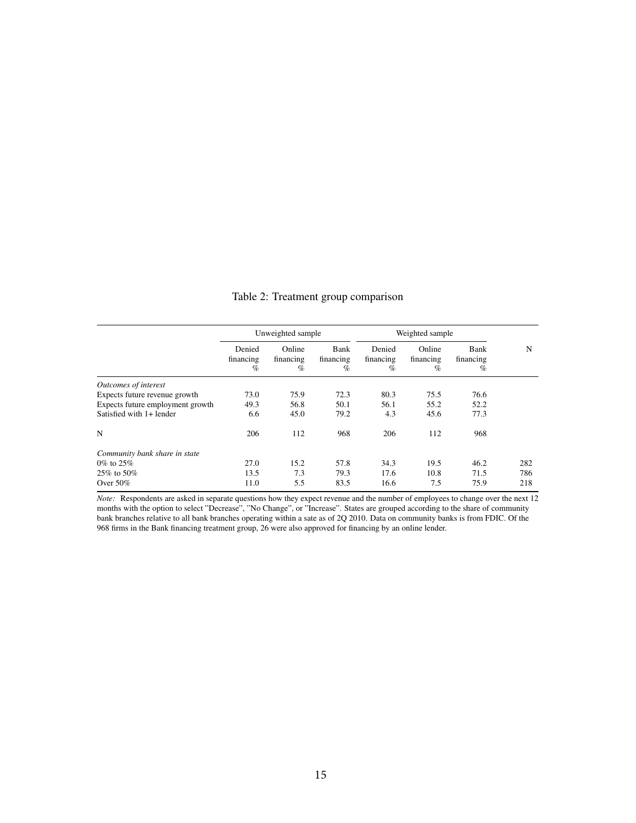|                                  |                             | Unweighted sample           |                           |                             | Weighted sample             |                           |     |
|----------------------------------|-----------------------------|-----------------------------|---------------------------|-----------------------------|-----------------------------|---------------------------|-----|
|                                  | Denied<br>financing<br>$\%$ | Online<br>financing<br>$\%$ | Bank<br>financing<br>$\%$ | Denied<br>financing<br>$\%$ | Online<br>financing<br>$\%$ | Bank<br>financing<br>$\%$ | N   |
| Outcomes of interest             |                             |                             |                           |                             |                             |                           |     |
| Expects future revenue growth    | 73.0                        | 75.9                        | 72.3                      | 80.3                        | 75.5                        | 76.6                      |     |
| Expects future employment growth | 49.3                        | 56.8                        | 50.1                      | 56.1                        | 55.2                        | 52.2                      |     |
| Satisfied with 1+ lender         | 6.6                         | 45.0                        | 79.2                      | 4.3                         | 45.6                        | 77.3                      |     |
| N                                | 206                         | 112                         | 968                       | 206                         | 112                         | 968                       |     |
| Community bank share in state    |                             |                             |                           |                             |                             |                           |     |
| 0\% to 25\%                      | 27.0                        | 15.2                        | 57.8                      | 34.3                        | 19.5                        | 46.2                      | 282 |
| $25\%$ to $50\%$                 | 13.5                        | 7.3                         | 79.3                      | 17.6                        | 10.8                        | 71.5                      | 786 |
| Over $50\%$                      | 11.0                        | 5.5                         | 83.5                      | 16.6                        | 7.5                         | 75.9                      | 218 |

#### Table 2: Treatment group comparison

*Note:* Respondents are asked in separate questions how they expect revenue and the number of employees to change over the next 12 months with the option to select "Decrease", "No Change", or "Increase". States are grouped according to the share of community bank branches relative to all bank branches operating within a sate as of 2Q 2010. Data on community banks is from FDIC. Of the 968 firms in the Bank financing treatment group, 26 were also approved for financing by an online lender.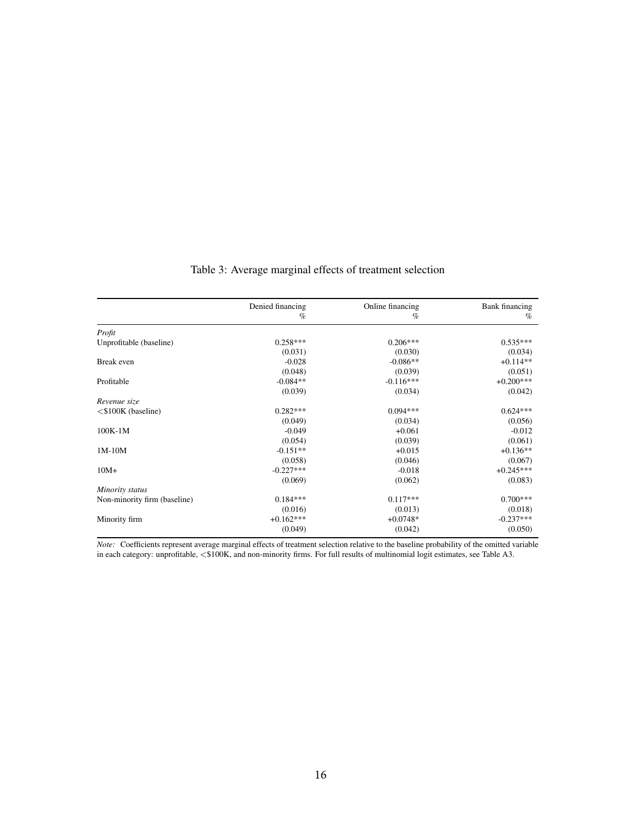|                              | Denied financing<br>$\%$ | Online financing<br>$\%$ | Bank financing<br>% |
|------------------------------|--------------------------|--------------------------|---------------------|
| Profit                       |                          |                          |                     |
|                              | $0.258***$               | $0.206***$               | $0.535***$          |
| Unprofitable (baseline)      |                          |                          |                     |
|                              | (0.031)                  | (0.030)                  | (0.034)             |
| Break even                   | $-0.028$                 | $-0.086**$               | $+0.114**$          |
|                              | (0.048)                  | (0.039)                  | (0.051)             |
| Profitable                   | $-0.084**$               | $-0.116***$              | $+0.200***$         |
|                              | (0.039)                  | (0.034)                  | (0.042)             |
| Revenue size                 |                          |                          |                     |
| $\leq$ \$100K (baseline)     | $0.282***$               | $0.094***$               | $0.624***$          |
|                              | (0.049)                  | (0.034)                  | (0.056)             |
| $100K-1M$                    | $-0.049$                 | $+0.061$                 | $-0.012$            |
|                              | (0.054)                  | (0.039)                  | (0.061)             |
| $1M-10M$                     | $-0.151**$               | $+0.015$                 | $+0.136**$          |
|                              | (0.058)                  | (0.046)                  | (0.067)             |
| $10M+$                       | $-0.227***$              | $-0.018$                 | $+0.245***$         |
|                              | (0.069)                  | (0.062)                  | (0.083)             |
| Minority status              |                          |                          |                     |
| Non-minority firm (baseline) | $0.184***$               | $0.117***$               | $0.700***$          |
|                              | (0.016)                  | (0.013)                  | (0.018)             |
| Minority firm                | $+0.162***$              | $+0.0748*$               | $-0.237***$         |
|                              | (0.049)                  | (0.042)                  | (0.050)             |

### Table 3: Average marginal effects of treatment selection

*Note:* Coefficients represent average marginal effects of treatment selection relative to the baseline probability of the omitted variable in each category: unprofitable, <\$100K, and non-minority firms. For full results of multinomial logit estimates, see Table A3.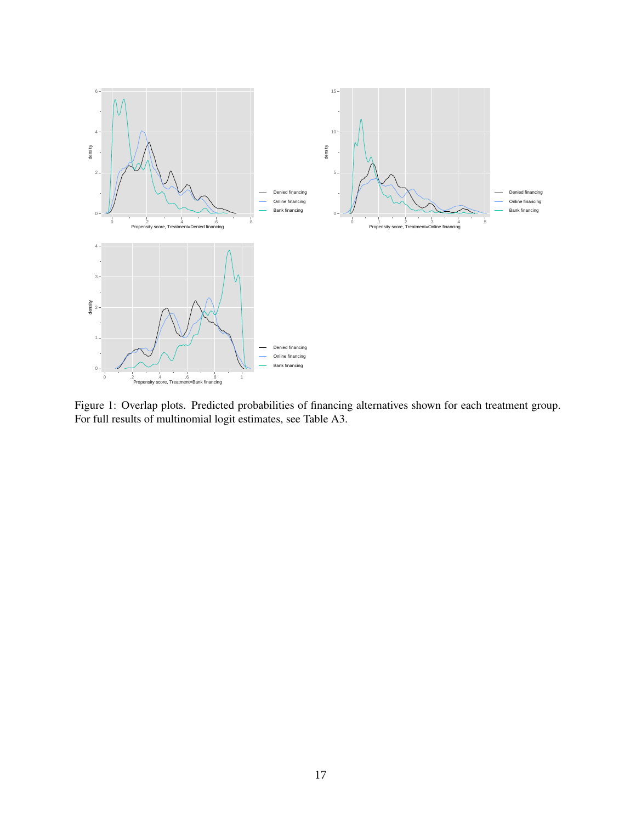

Figure 1: Overlap plots. Predicted probabilities of financing alternatives shown for each treatment group. For full results of multinomial logit estimates, see Table A3.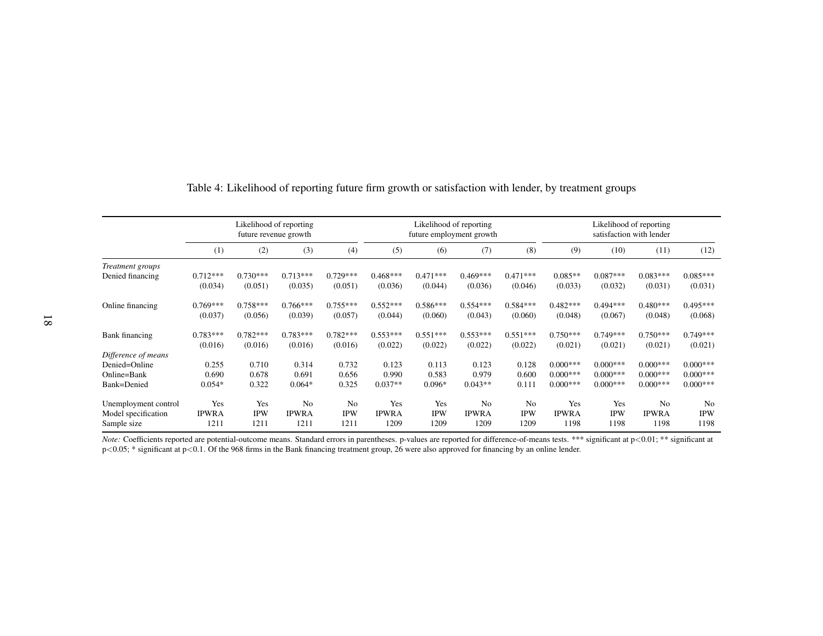|                         | Likelihood of reporting<br>future revenue growth |            |                |            | Likelihood of reporting<br>future employment growth |            |                |                | Likelihood of reporting<br>satisfaction with lender |            |                |            |
|-------------------------|--------------------------------------------------|------------|----------------|------------|-----------------------------------------------------|------------|----------------|----------------|-----------------------------------------------------|------------|----------------|------------|
|                         | (1)                                              | (2)        | (3)            | (4)        | (5)                                                 | (6)        | (7)            | (8)            | (9)                                                 | (10)       | (11)           | (12)       |
| <i>Treatment groups</i> |                                                  |            |                |            |                                                     |            |                |                |                                                     |            |                |            |
| Denied financing        | $0.712***$                                       | $0.730***$ | $0.713***$     | $0.729***$ | $0.468***$                                          | $0.471***$ | $0.469***$     | $0.471***$     | $0.085**$                                           | $0.087***$ | $0.083***$     | $0.085***$ |
|                         | (0.034)                                          | (0.051)    | (0.035)        | (0.051)    | (0.036)                                             | (0.044)    | (0.036)        | (0.046)        | (0.033)                                             | (0.032)    | (0.031)        | (0.031)    |
| Online financing        | $0.769***$                                       | $0.758***$ | $0.766***$     | $0.755***$ | $0.552***$                                          | $0.586***$ | $0.554***$     | $0.584***$     | $0.482***$                                          | $0.494***$ | $0.480***$     | $0.495***$ |
|                         | (0.037)                                          | (0.056)    | (0.039)        | (0.057)    | (0.044)                                             | (0.060)    | (0.043)        | (0.060)        | (0.048)                                             | (0.067)    | (0.048)        | (0.068)    |
| Bank financing          | $0.783***$                                       | $0.782***$ | $0.783***$     | $0.782***$ | $0.553***$                                          | $0.551***$ | $0.553***$     | $0.551***$     | $0.750***$                                          | $0.749***$ | $0.750***$     | $0.749***$ |
|                         | (0.016)                                          | (0.016)    | (0.016)        | (0.016)    | (0.022)                                             | (0.022)    | (0.022)        | (0.022)        | (0.021)                                             | (0.021)    | (0.021)        | (0.021)    |
| Difference of means     |                                                  |            |                |            |                                                     |            |                |                |                                                     |            |                |            |
| Denied=Online           | 0.255                                            | 0.710      | 0.314          | 0.732      | 0.123                                               | 0.113      | 0.123          | 0.128          | $0.000***$                                          | $0.000***$ | $0.000***$     | $0.000***$ |
| Online=Bank             | 0.690                                            | 0.678      | 0.691          | 0.656      | 0.990                                               | 0.583      | 0.979          | 0.600          | $0.000***$                                          | $0.000***$ | $0.000***$     | $0.000***$ |
| Bank=Denied             | $0.054*$                                         | 0.322      | $0.064*$       | 0.325      | $0.037**$                                           | $0.096*$   | $0.043**$      | 0.111          | $0.000***$                                          | $0.000***$ | $0.000***$     | $0.000***$ |
| Unemployment control    | Yes                                              | Yes        | N <sub>0</sub> | No         | Yes                                                 | Yes        | N <sub>0</sub> | N <sub>o</sub> | Yes                                                 | Yes        | N <sub>0</sub> | No         |
| Model specification     | <b>IPWRA</b>                                     | <b>IPW</b> | <b>IPWRA</b>   | <b>IPW</b> | <b>IPWRA</b>                                        | <b>IPW</b> | <b>IPWRA</b>   | <b>IPW</b>     | <b>IPWRA</b>                                        | <b>IPW</b> | <b>IPWRA</b>   | <b>IPW</b> |
| Sample size             | 1211                                             | 1211       | 1211           | 1211       | 1209                                                | 1209       | 1209           | 1209           | 1198                                                | 1198       | 1198           | 1198       |

#### Table 4: Likelihood of reporting future firm growth or satisfaction with lender, by treatment groups

*Note:* Coefficients reported are potential-outcome means. Standard errors in parentheses. p-values are reported for difference-of-means tests. \*\*\* significant at p<0.01; \*\* significant at  $p$  < 0.05; \* significant at  $p$  < 0.1. Of the 968 firms in the Bank financing treatment group, 26 were also approved for financing by an online lender.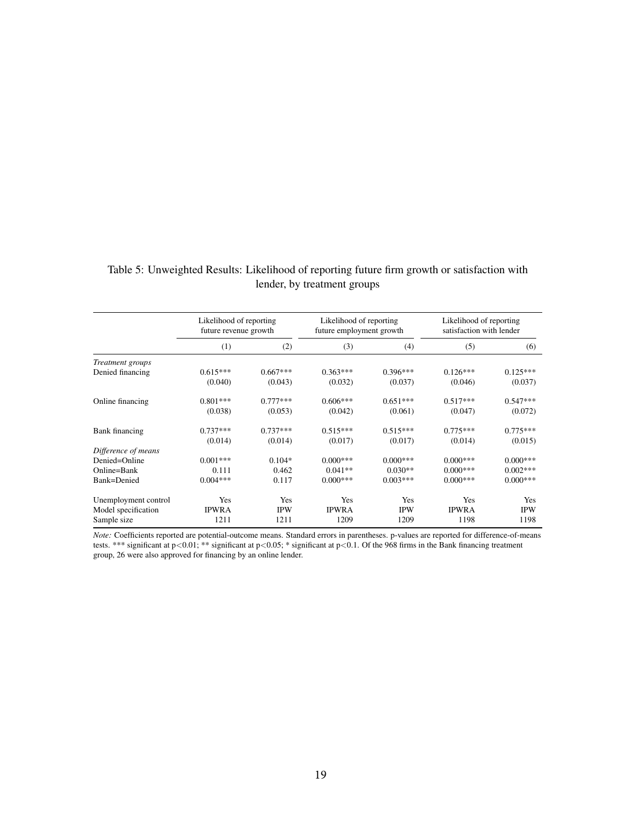|                         | Likelihood of reporting<br>future revenue growth |            | Likelihood of reporting<br>future employment growth |            | Likelihood of reporting<br>satisfaction with lender |            |  |
|-------------------------|--------------------------------------------------|------------|-----------------------------------------------------|------------|-----------------------------------------------------|------------|--|
|                         | (1)                                              | (2)        | (3)                                                 | (4)        | (5)                                                 | (6)        |  |
| <i>Treatment groups</i> |                                                  |            |                                                     |            |                                                     |            |  |
| Denied financing        | $0.615***$                                       | $0.667***$ | $0.363***$                                          | $0.396***$ | $0.126***$                                          | $0.125***$ |  |
|                         | (0.040)                                          | (0.043)    | (0.032)                                             | (0.037)    | (0.046)                                             | (0.037)    |  |
| Online financing        | $0.801***$                                       | $0.777***$ | $0.606***$                                          | $0.651***$ | $0.517***$                                          | $0.547***$ |  |
|                         | (0.038)                                          | (0.053)    | (0.042)                                             | (0.061)    | (0.047)                                             | (0.072)    |  |
| Bank financing          | $0.737***$                                       | $0.737***$ | $0.515***$                                          | $0.515***$ | $0.775***$                                          | $0.775***$ |  |
|                         | (0.014)                                          | (0.014)    | (0.017)                                             | (0.017)    | (0.014)                                             | (0.015)    |  |
| Difference of means     |                                                  |            |                                                     |            |                                                     |            |  |
| Denied=Online           | $0.001***$                                       | $0.104*$   | $0.000***$                                          | $0.000***$ | $0.000***$                                          | $0.000***$ |  |
| Online=Bank             | 0.111                                            | 0.462      | $0.041**$                                           | $0.030**$  | $0.000***$                                          | $0.002***$ |  |
| Bank=Denied             | $0.004***$                                       | 0.117      | $0.000***$                                          | $0.003***$ | $0.000***$                                          | $0.000***$ |  |
| Unemployment control    | Yes                                              | Yes        | Yes                                                 | Yes        | Yes                                                 | Yes        |  |
| Model specification     | <b>IPWRA</b>                                     | <b>IPW</b> | <b>IPWRA</b>                                        | <b>IPW</b> | <b>IPWRA</b>                                        | <b>IPW</b> |  |
| Sample size             | 1211                                             | 1211       | 1209                                                | 1209       | 1198                                                | 1198       |  |

### Table 5: Unweighted Results: Likelihood of reporting future firm growth or satisfaction with lender, by treatment groups

*Note:* Coefficients reported are potential-outcome means. Standard errors in parentheses. p-values are reported for difference-of-means tests. \*\*\* significant at p<0.01; \*\* significant at p<0.05; \* significant at p<0.1. Of the 968 firms in the Bank financing treatment group, 26 were also approved for financing by an online lender.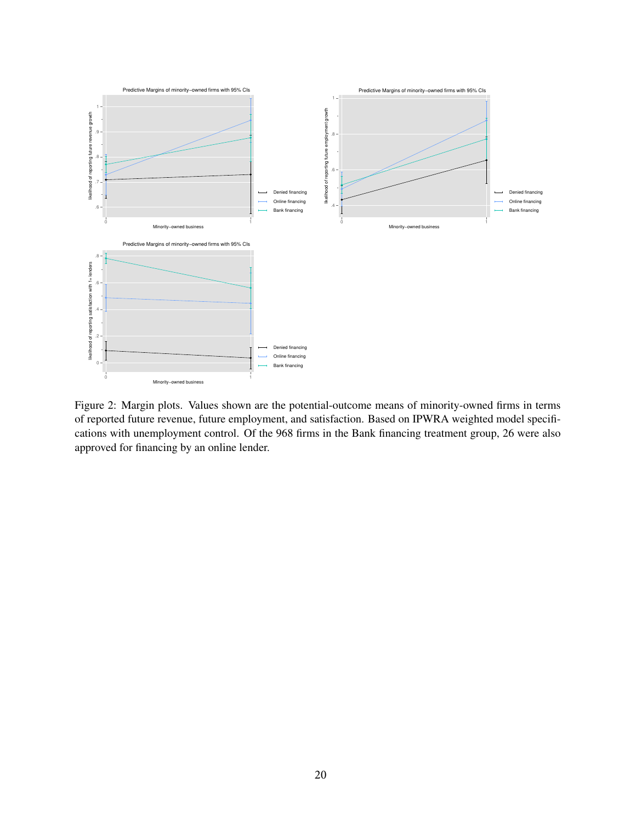

Figure 2: Margin plots. Values shown are the potential-outcome means of minority-owned firms in terms of reported future revenue, future employment, and satisfaction. Based on IPWRA weighted model specifications with unemployment control. Of the 968 firms in the Bank financing treatment group, 26 were also approved for financing by an online lender.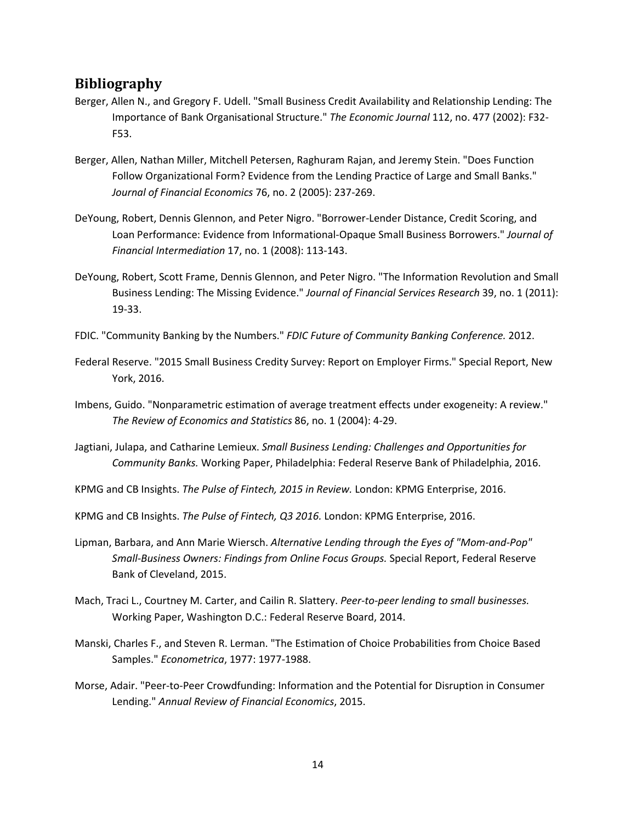## **Bibliography**

- Berger, Allen N., and Gregory F. Udell. "Small Business Credit Availability and Relationship Lending: The Importance of Bank Organisational Structure." *The Economic Journal* 112, no. 477 (2002): F32- F53.
- Berger, Allen, Nathan Miller, Mitchell Petersen, Raghuram Rajan, and Jeremy Stein. "Does Function Follow Organizational Form? Evidence from the Lending Practice of Large and Small Banks." *Journal of Financial Economics* 76, no. 2 (2005): 237-269.
- DeYoung, Robert, Dennis Glennon, and Peter Nigro. "Borrower-Lender Distance, Credit Scoring, and Loan Performance: Evidence from Informational-Opaque Small Business Borrowers." *Journal of Financial Intermediation* 17, no. 1 (2008): 113-143.
- DeYoung, Robert, Scott Frame, Dennis Glennon, and Peter Nigro. "The Information Revolution and Small Business Lending: The Missing Evidence." *Journal of Financial Services Research* 39, no. 1 (2011): 19-33.
- FDIC. "Community Banking by the Numbers." *FDIC Future of Community Banking Conference.* 2012.
- Federal Reserve. "2015 Small Business Credity Survey: Report on Employer Firms." Special Report, New York, 2016.
- Imbens, Guido. "Nonparametric estimation of average treatment effects under exogeneity: A review." *The Review of Economics and Statistics* 86, no. 1 (2004): 4-29.
- Jagtiani, Julapa, and Catharine Lemieux. *Small Business Lending: Challenges and Opportunities for Community Banks.* Working Paper, Philadelphia: Federal Reserve Bank of Philadelphia, 2016.
- KPMG and CB Insights. *The Pulse of Fintech, 2015 in Review.* London: KPMG Enterprise, 2016.
- KPMG and CB Insights. *The Pulse of Fintech, Q3 2016.* London: KPMG Enterprise, 2016.
- Lipman, Barbara, and Ann Marie Wiersch. *Alternative Lending through the Eyes of "Mom-and-Pop" Small-Business Owners: Findings from Online Focus Groups.* Special Report, Federal Reserve Bank of Cleveland, 2015.
- Mach, Traci L., Courtney M. Carter, and Cailin R. Slattery. *Peer-to-peer lending to small businesses.* Working Paper, Washington D.C.: Federal Reserve Board, 2014.
- Manski, Charles F., and Steven R. Lerman. "The Estimation of Choice Probabilities from Choice Based Samples." *Econometrica*, 1977: 1977-1988.
- Morse, Adair. "Peer-to-Peer Crowdfunding: Information and the Potential for Disruption in Consumer Lending." *Annual Review of Financial Economics*, 2015.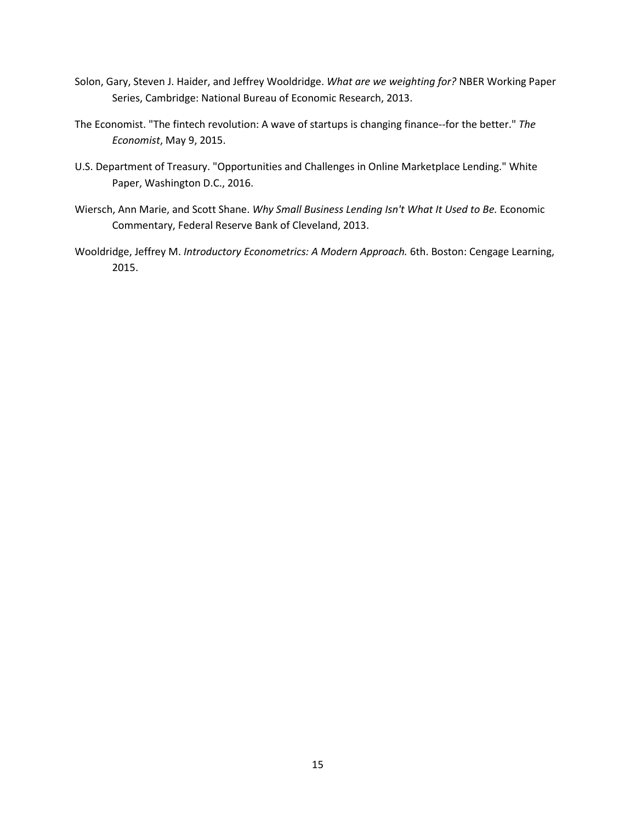- Solon, Gary, Steven J. Haider, and Jeffrey Wooldridge. *What are we weighting for?* NBER Working Paper Series, Cambridge: National Bureau of Economic Research, 2013.
- The Economist. "The fintech revolution: A wave of startups is changing finance--for the better." *The Economist*, May 9, 2015.
- U.S. Department of Treasury. "Opportunities and Challenges in Online Marketplace Lending." White Paper, Washington D.C., 2016.
- Wiersch, Ann Marie, and Scott Shane. *Why Small Business Lending Isn't What It Used to Be.* Economic Commentary, Federal Reserve Bank of Cleveland, 2013.
- Wooldridge, Jeffrey M. *Introductory Econometrics: A Modern Approach.* 6th. Boston: Cengage Learning, 2015.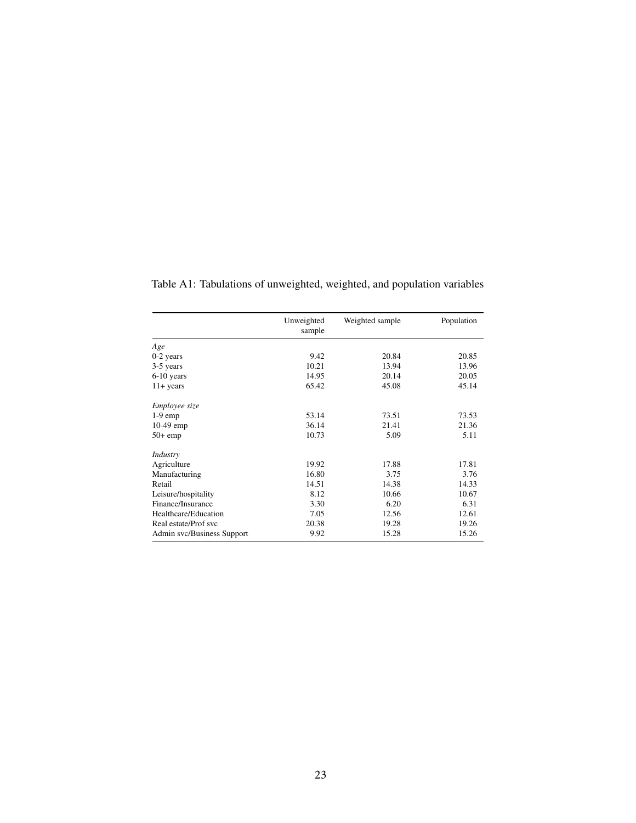|                            | Unweighted<br>sample | Weighted sample | Population |
|----------------------------|----------------------|-----------------|------------|
| Age                        |                      |                 |            |
| 0-2 years                  | 9.42                 | 20.84           | 20.85      |
| 3-5 years                  | 10.21                | 13.94           | 13.96      |
| $6-10$ years               | 14.95                | 20.14           | 20.05      |
| $11 + \text{years}$        | 65.42                | 45.08           | 45.14      |
| Employee size              |                      |                 |            |
| $1-9$ emp                  | 53.14                | 73.51           | 73.53      |
| 10-49 emp                  | 36.14                | 21.41           | 21.36      |
| $50+$ emp                  | 10.73                | 5.09            | 5.11       |
| Industry                   |                      |                 |            |
| Agriculture                | 19.92                | 17.88           | 17.81      |
| Manufacturing              | 16.80                | 3.75            | 3.76       |
| Retail                     | 14.51                | 14.38           | 14.33      |
| Leisure/hospitality        | 8.12                 | 10.66           | 10.67      |
| Finance/Insurance          | 3.30                 | 6.20            | 6.31       |
| Healthcare/Education       | 7.05                 | 12.56           | 12.61      |
| Real estate/Prof svc       | 20.38                | 19.28           | 19.26      |
| Admin svc/Business Support | 9.92                 | 15.28           | 15.26      |

Table A1: Tabulations of unweighted, weighted, and population variables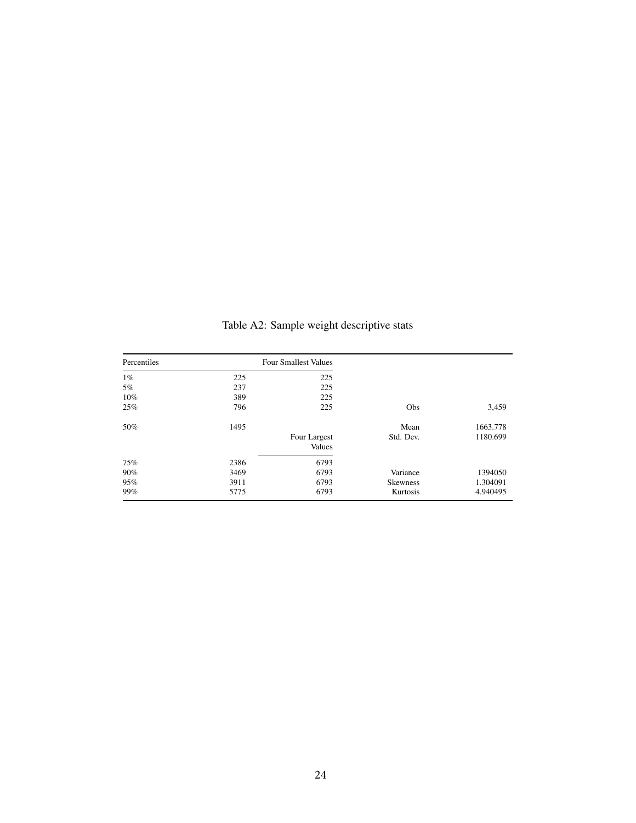| Percentiles |      | <b>Four Smallest Values</b> |                 |          |
|-------------|------|-----------------------------|-----------------|----------|
| $1\%$       | 225  | 225                         |                 |          |
| 5%          | 237  | 225                         |                 |          |
| 10%         | 389  | 225                         |                 |          |
| 25%         | 796  | 225                         | Obs             | 3,459    |
| 50%         | 1495 |                             | Mean            | 1663.778 |
|             |      | Four Largest                | Std. Dev.       | 1180.699 |
|             |      | Values                      |                 |          |
| 75%         | 2386 | 6793                        |                 |          |
| 90%         | 3469 | 6793                        | Variance        | 1394050  |
| 95%         | 3911 | 6793                        | <b>Skewness</b> | 1.304091 |
| 99%         | 5775 | 6793                        | Kurtosis        | 4.940495 |

Table A2: Sample weight descriptive stats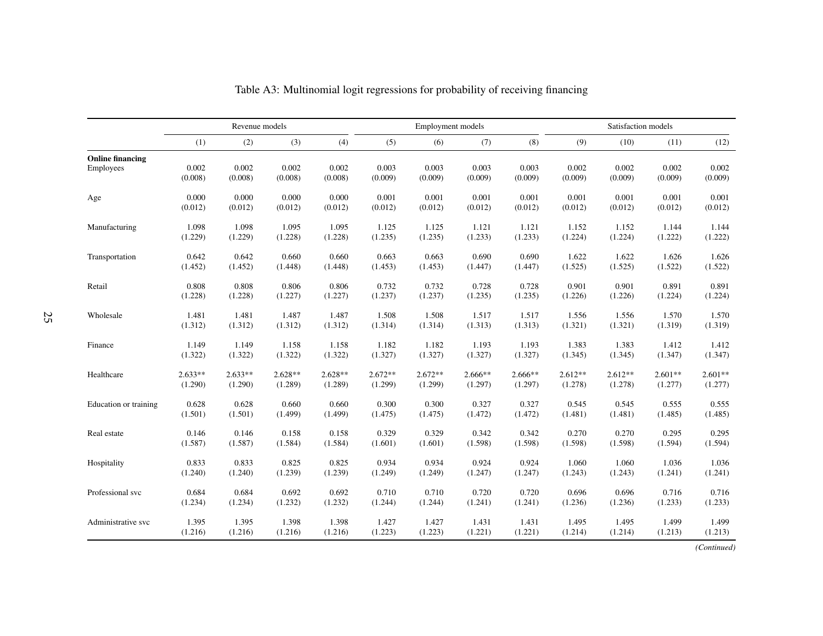|                         |           | Revenue models |           |           |           | Employment models |           |           |           | Satisfaction models |           |           |
|-------------------------|-----------|----------------|-----------|-----------|-----------|-------------------|-----------|-----------|-----------|---------------------|-----------|-----------|
|                         | (1)       | (2)            | (3)       | (4)       | (5)       | (6)               | (7)       | (8)       | (9)       | (10)                | (11)      | (12)      |
| <b>Online financing</b> |           |                |           |           |           |                   |           |           |           |                     |           |           |
| Employees               | 0.002     | 0.002          | 0.002     | 0.002     | 0.003     | 0.003             | 0.003     | 0.003     | 0.002     | 0.002               | 0.002     | 0.002     |
|                         | (0.008)   | (0.008)        | (0.008)   | (0.008)   | (0.009)   | (0.009)           | (0.009)   | (0.009)   | (0.009)   | (0.009)             | (0.009)   | (0.009)   |
| Age                     | 0.000     | 0.000          | 0.000     | 0.000     | 0.001     | 0.001             | 0.001     | 0.001     | 0.001     | 0.001               | 0.001     | 0.001     |
|                         | (0.012)   | (0.012)        | (0.012)   | (0.012)   | (0.012)   | (0.012)           | (0.012)   | (0.012)   | (0.012)   | (0.012)             | (0.012)   | (0.012)   |
| Manufacturing           | 1.098     | 1.098          | 1.095     | 1.095     | 1.125     | 1.125             | 1.121     | 1.121     | 1.152     | 1.152               | 1.144     | 1.144     |
|                         | (1.229)   | (1.229)        | (1.228)   | (1.228)   | (1.235)   | (1.235)           | (1.233)   | (1.233)   | (1.224)   | (1.224)             | (1.222)   | (1.222)   |
| Transportation          | 0.642     | 0.642          | 0.660     | 0.660     | 0.663     | 0.663             | 0.690     | 0.690     | 1.622     | 1.622               | 1.626     | 1.626     |
|                         | (1.452)   | (1.452)        | (1.448)   | (1.448)   | (1.453)   | (1.453)           | (1.447)   | (1.447)   | (1.525)   | (1.525)             | (1.522)   | (1.522)   |
| Retail                  | 0.808     | 0.808          | 0.806     | 0.806     | 0.732     | 0.732             | 0.728     | 0.728     | 0.901     | 0.901               | 0.891     | 0.891     |
|                         | (1.228)   | (1.228)        | (1.227)   | (1.227)   | (1.237)   | (1.237)           | (1.235)   | (1.235)   | (1.226)   | (1.226)             | (1.224)   | (1.224)   |
| Wholesale               | 1.481     | 1.481          | 1.487     | 1.487     | 1.508     | 1.508             | 1.517     | 1.517     | 1.556     | 1.556               | 1.570     | 1.570     |
|                         | (1.312)   | (1.312)        | (1.312)   | (1.312)   | (1.314)   | (1.314)           | (1.313)   | (1.313)   | (1.321)   | (1.321)             | (1.319)   | (1.319)   |
| Finance                 | 1.149     | 1.149          | 1.158     | 1.158     | 1.182     | 1.182             | 1.193     | 1.193     | 1.383     | 1.383               | 1.412     | 1.412     |
|                         | (1.322)   | (1.322)        | (1.322)   | (1.322)   | (1.327)   | (1.327)           | (1.327)   | (1.327)   | (1.345)   | (1.345)             | (1.347)   | (1.347)   |
| Healthcare              | $2.633**$ | $2.633**$      | $2.628**$ | $2.628**$ | $2.672**$ | $2.672**$         | $2.666**$ | $2.666**$ | $2.612**$ | $2.612**$           | $2.601**$ | $2.601**$ |
|                         | (1.290)   | (1.290)        | (1.289)   | (1.289)   | (1.299)   | (1.299)           | (1.297)   | (1.297)   | (1.278)   | (1.278)             | (1.277)   | (1.277)   |
| Education or training   | 0.628     | 0.628          | 0.660     | 0.660     | 0.300     | 0.300             | 0.327     | 0.327     | 0.545     | 0.545               | 0.555     | 0.555     |
|                         | (1.501)   | (1.501)        | (1.499)   | (1.499)   | (1.475)   | (1.475)           | (1.472)   | (1.472)   | (1.481)   | (1.481)             | (1.485)   | (1.485)   |
| Real estate             | 0.146     | 0.146          | 0.158     | 0.158     | 0.329     | 0.329             | 0.342     | 0.342     | 0.270     | 0.270               | 0.295     | 0.295     |
|                         | (1.587)   | (1.587)        | (1.584)   | (1.584)   | (1.601)   | (1.601)           | (1.598)   | (1.598)   | (1.598)   | (1.598)             | (1.594)   | (1.594)   |
| Hospitality             | 0.833     | 0.833          | 0.825     | 0.825     | 0.934     | 0.934             | 0.924     | 0.924     | 1.060     | 1.060               | 1.036     | 1.036     |
|                         | (1.240)   | (1.240)        | (1.239)   | (1.239)   | (1.249)   | (1.249)           | (1.247)   | (1.247)   | (1.243)   | (1.243)             | (1.241)   | (1.241)   |
| Professional svc        | 0.684     | 0.684          | 0.692     | 0.692     | 0.710     | 0.710             | 0.720     | 0.720     | 0.696     | 0.696               | 0.716     | 0.716     |
|                         | (1.234)   | (1.234)        | (1.232)   | (1.232)   | (1.244)   | (1.244)           | (1.241)   | (1.241)   | (1.236)   | (1.236)             | (1.233)   | (1.233)   |
| Administrative svc      | 1.395     | 1.395          | 1.398     | 1.398     | 1.427     | 1.427             | 1.431     | 1.431     | 1.495     | 1.495               | 1.499     | 1.499     |
|                         | (1.216)   | (1.216)        | (1.216)   | (1.216)   | (1.223)   | (1.223)           | (1.221)   | (1.221)   | (1.214)   | (1.214)             | (1.213)   | (1.213)   |

Table A3: Multinomial logit regressions for probability of receiving financing

*(Continued)*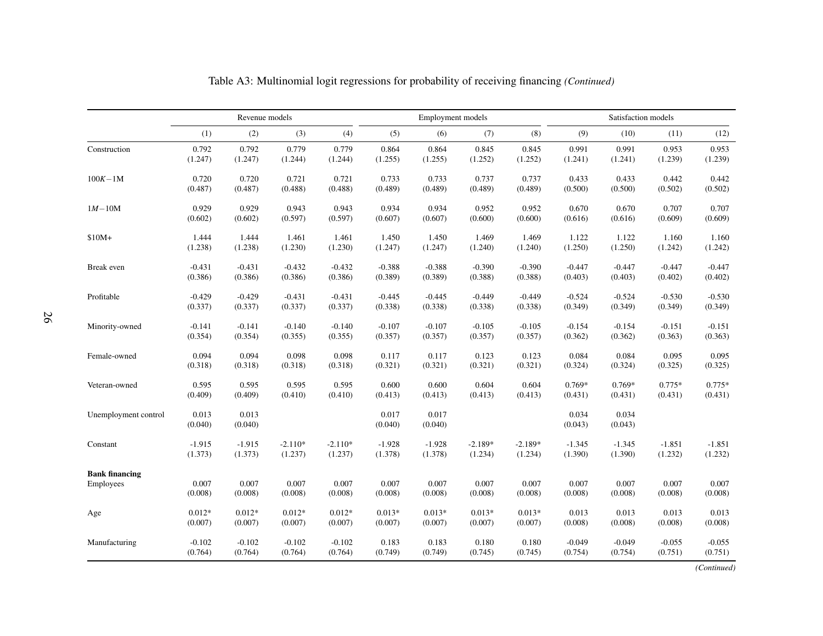|                       |                  | Revenue models   |           |           |                  | Employment models |           |           |                  | Satisfaction models |          |          |
|-----------------------|------------------|------------------|-----------|-----------|------------------|-------------------|-----------|-----------|------------------|---------------------|----------|----------|
|                       | (1)              | (2)              | (3)       | (4)       | (5)              | (6)               | (7)       | (8)       | (9)              | (10)                | (11)     | (12)     |
| Construction          | 0.792            | 0.792            | 0.779     | 0.779     | 0.864            | 0.864             | 0.845     | 0.845     | 0.991            | 0.991               | 0.953    | 0.953    |
|                       | (1.247)          | (1.247)          | (1.244)   | (1.244)   | (1.255)          | (1.255)           | (1.252)   | (1.252)   | (1.241)          | (1.241)             | (1.239)  | (1.239)  |
| $100K-1M$             | 0.720            | 0.720            | 0.721     | 0.721     | 0.733            | 0.733             | 0.737     | 0.737     | 0.433            | 0.433               | 0.442    | 0.442    |
|                       | (0.487)          | (0.487)          | (0.488)   | (0.488)   | (0.489)          | (0.489)           | (0.489)   | (0.489)   | (0.500)          | (0.500)             | (0.502)  | (0.502)  |
| $1M-10M$              | 0.929            | 0.929            | 0.943     | 0.943     | 0.934            | 0.934             | 0.952     | 0.952     | 0.670            | 0.670               | 0.707    | 0.707    |
|                       | (0.602)          | (0.602)          | (0.597)   | (0.597)   | (0.607)          | (0.607)           | (0.600)   | (0.600)   | (0.616)          | (0.616)             | (0.609)  | (0.609)  |
| $$10M+$               | 1.444            | 1.444            | 1.461     | 1.461     | 1.450            | 1.450             | 1.469     | 1.469     | 1.122            | 1.122               | 1.160    | 1.160    |
|                       | (1.238)          | (1.238)          | (1.230)   | (1.230)   | (1.247)          | (1.247)           | (1.240)   | (1.240)   | (1.250)          | (1.250)             | (1.242)  | (1.242)  |
| Break even            | $-0.431$         | $-0.431$         | $-0.432$  | $-0.432$  | $-0.388$         | $-0.388$          | $-0.390$  | $-0.390$  | $-0.447$         | $-0.447$            | $-0.447$ | $-0.447$ |
|                       | (0.386)          | (0.386)          | (0.386)   | (0.386)   | (0.389)          | (0.389)           | (0.388)   | (0.388)   | (0.403)          | (0.403)             | (0.402)  | (0.402)  |
| Profitable            | $-0.429$         | $-0.429$         | $-0.431$  | $-0.431$  | $-0.445$         | $-0.445$          | $-0.449$  | $-0.449$  | $-0.524$         | $-0.524$            | $-0.530$ | $-0.530$ |
|                       | (0.337)          | (0.337)          | (0.337)   | (0.337)   | (0.338)          | (0.338)           | (0.338)   | (0.338)   | (0.349)          | (0.349)             | (0.349)  | (0.349)  |
| Minority-owned        | $-0.141$         | $-0.141$         | $-0.140$  | $-0.140$  | $-0.107$         | $-0.107$          | $-0.105$  | $-0.105$  | $-0.154$         | $-0.154$            | $-0.151$ | $-0.151$ |
|                       | (0.354)          | (0.354)          | (0.355)   | (0.355)   | (0.357)          | (0.357)           | (0.357)   | (0.357)   | (0.362)          | (0.362)             | (0.363)  | (0.363)  |
| Female-owned          | 0.094            | 0.094            | 0.098     | 0.098     | 0.117            | 0.117             | 0.123     | 0.123     | 0.084            | 0.084               | 0.095    | 0.095    |
|                       | (0.318)          | (0.318)          | (0.318)   | (0.318)   | (0.321)          | (0.321)           | (0.321)   | (0.321)   | (0.324)          | (0.324)             | (0.325)  | (0.325)  |
| Veteran-owned         | 0.595            | 0.595            | 0.595     | 0.595     | 0.600            | 0.600             | 0.604     | 0.604     | $0.769*$         | $0.769*$            | $0.775*$ | $0.775*$ |
|                       | (0.409)          | (0.409)          | (0.410)   | (0.410)   | (0.413)          | (0.413)           | (0.413)   | (0.413)   | (0.431)          | (0.431)             | (0.431)  | (0.431)  |
| Unemployment control  | 0.013<br>(0.040) | 0.013<br>(0.040) |           |           | 0.017<br>(0.040) | 0.017<br>(0.040)  |           |           | 0.034<br>(0.043) | 0.034<br>(0.043)    |          |          |
| Constant              | $-1.915$         | $-1.915$         | $-2.110*$ | $-2.110*$ | $-1.928$         | $-1.928$          | $-2.189*$ | $-2.189*$ | $-1.345$         | $-1.345$            | $-1.851$ | $-1.851$ |
|                       | (1.373)          | (1.373)          | (1.237)   | (1.237)   | (1.378)          | (1.378)           | (1.234)   | (1.234)   | (1.390)          | (1.390)             | (1.232)  | (1.232)  |
| <b>Bank financing</b> | 0.007            | 0.007            | 0.007     | 0.007     | 0.007            | 0.007             | 0.007     | 0.007     | 0.007            | 0.007               | 0.007    | 0.007    |
| <b>Employees</b>      | (0.008)          | (0.008)          | (0.008)   | (0.008)   | (0.008)          | (0.008)           | (0.008)   | (0.008)   | (0.008)          | (0.008)             | (0.008)  | (0.008)  |
| Age                   | $0.012*$         | $0.012*$         | $0.012*$  | $0.012*$  | $0.013*$         | $0.013*$          | $0.013*$  | $0.013*$  | 0.013            | 0.013               | 0.013    | 0.013    |
|                       | (0.007)          | (0.007)          | (0.007)   | (0.007)   | (0.007)          | (0.007)           | (0.007)   | (0.007)   | (0.008)          | (0.008)             | (0.008)  | (0.008)  |
| Manufacturing         | $-0.102$         | $-0.102$         | $-0.102$  | $-0.102$  | 0.183            | 0.183             | 0.180     | 0.180     | $-0.049$         | $-0.049$            | $-0.055$ | $-0.055$ |
|                       | (0.764)          | (0.764)          | (0.764)   | (0.764)   | (0.749)          | (0.749)           | (0.745)   | (0.745)   | (0.754)          | (0.754)             | (0.751)  | (0.751)  |

Table A3: Multinomial logit regressions for probability of receiving financing *(Continued)*

*(Continued)*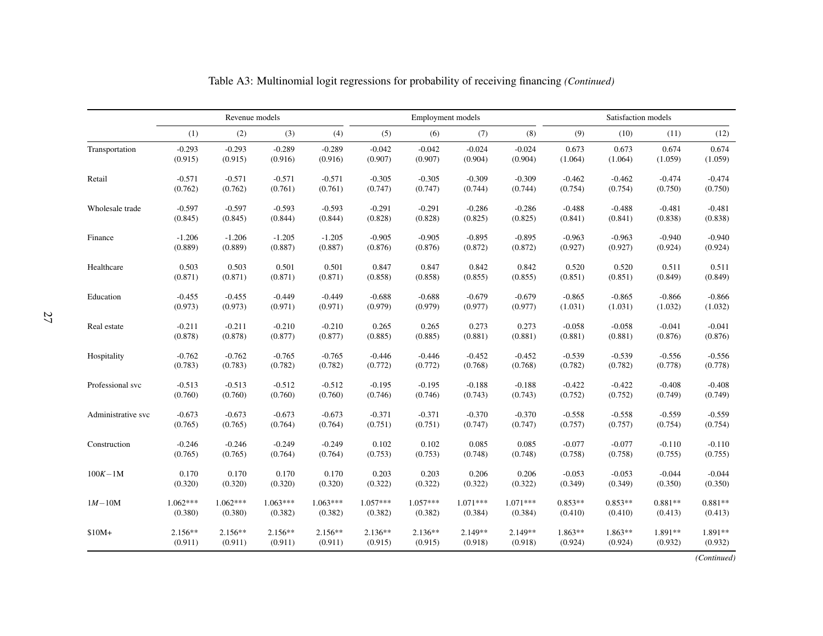|                    |            | Revenue models |            |            |            | Employment models |            |            |           | Satisfaction models |           |           |
|--------------------|------------|----------------|------------|------------|------------|-------------------|------------|------------|-----------|---------------------|-----------|-----------|
|                    | (1)        | (2)            | (3)        | (4)        | (5)        | (6)               | (7)        | (8)        | (9)       | (10)                | (11)      | (12)      |
| Transportation     | $-0.293$   | $-0.293$       | $-0.289$   | $-0.289$   | $-0.042$   | $-0.042$          | $-0.024$   | $-0.024$   | 0.673     | 0.673               | 0.674     | 0.674     |
|                    | (0.915)    | (0.915)        | (0.916)    | (0.916)    | (0.907)    | (0.907)           | (0.904)    | (0.904)    | (1.064)   | (1.064)             | (1.059)   | (1.059)   |
| Retail             | $-0.571$   | $-0.571$       | $-0.571$   | $-0.571$   | $-0.305$   | $-0.305$          | $-0.309$   | $-0.309$   | $-0.462$  | $-0.462$            | $-0.474$  | $-0.474$  |
|                    | (0.762)    | (0.762)        | (0.761)    | (0.761)    | (0.747)    | (0.747)           | (0.744)    | (0.744)    | (0.754)   | (0.754)             | (0.750)   | (0.750)   |
| Wholesale trade    | $-0.597$   | $-0.597$       | $-0.593$   | $-0.593$   | $-0.291$   | $-0.291$          | $-0.286$   | $-0.286$   | $-0.488$  | $-0.488$            | $-0.481$  | $-0.481$  |
|                    | (0.845)    | (0.845)        | (0.844)    | (0.844)    | (0.828)    | (0.828)           | (0.825)    | (0.825)    | (0.841)   | (0.841)             | (0.838)   | (0.838)   |
| Finance            | $-1.206$   | $-1.206$       | $-1.205$   | $-1.205$   | $-0.905$   | $-0.905$          | $-0.895$   | $-0.895$   | $-0.963$  | $-0.963$            | $-0.940$  | $-0.940$  |
|                    | (0.889)    | (0.889)        | (0.887)    | (0.887)    | (0.876)    | (0.876)           | (0.872)    | (0.872)    | (0.927)   | (0.927)             | (0.924)   | (0.924)   |
| Healthcare         | 0.503      | 0.503          | 0.501      | 0.501      | 0.847      | 0.847             | 0.842      | 0.842      | 0.520     | 0.520               | 0.511     | 0.511     |
|                    | (0.871)    | (0.871)        | (0.871)    | (0.871)    | (0.858)    | (0.858)           | (0.855)    | (0.855)    | (0.851)   | (0.851)             | (0.849)   | (0.849)   |
| Education          | $-0.455$   | $-0.455$       | $-0.449$   | $-0.449$   | $-0.688$   | $-0.688$          | $-0.679$   | $-0.679$   | $-0.865$  | $-0.865$            | $-0.866$  | $-0.866$  |
|                    | (0.973)    | (0.973)        | (0.971)    | (0.971)    | (0.979)    | (0.979)           | (0.977)    | (0.977)    | (1.031)   | (1.031)             | (1.032)   | (1.032)   |
| Real estate        | $-0.211$   | $-0.211$       | $-0.210$   | $-0.210$   | 0.265      | 0.265             | 0.273      | 0.273      | $-0.058$  | $-0.058$            | $-0.041$  | $-0.041$  |
|                    | (0.878)    | (0.878)        | (0.877)    | (0.877)    | (0.885)    | (0.885)           | (0.881)    | (0.881)    | (0.881)   | (0.881)             | (0.876)   | (0.876)   |
| Hospitality        | $-0.762$   | $-0.762$       | $-0.765$   | $-0.765$   | $-0.446$   | $-0.446$          | $-0.452$   | $-0.452$   | $-0.539$  | $-0.539$            | $-0.556$  | $-0.556$  |
|                    | (0.783)    | (0.783)        | (0.782)    | (0.782)    | (0.772)    | (0.772)           | (0.768)    | (0.768)    | (0.782)   | (0.782)             | (0.778)   | (0.778)   |
| Professional svc   | $-0.513$   | $-0.513$       | $-0.512$   | $-0.512$   | $-0.195$   | $-0.195$          | $-0.188$   | $-0.188$   | $-0.422$  | $-0.422$            | $-0.408$  | $-0.408$  |
|                    | (0.760)    | (0.760)        | (0.760)    | (0.760)    | (0.746)    | (0.746)           | (0.743)    | (0.743)    | (0.752)   | (0.752)             | (0.749)   | (0.749)   |
| Administrative svc | $-0.673$   | $-0.673$       | $-0.673$   | $-0.673$   | $-0.371$   | $-0.371$          | $-0.370$   | $-0.370$   | $-0.558$  | $-0.558$            | $-0.559$  | $-0.559$  |
|                    | (0.765)    | (0.765)        | (0.764)    | (0.764)    | (0.751)    | (0.751)           | (0.747)    | (0.747)    | (0.757)   | (0.757)             | (0.754)   | (0.754)   |
| Construction       | $-0.246$   | $-0.246$       | $-0.249$   | $-0.249$   | 0.102      | 0.102             | 0.085      | 0.085      | $-0.077$  | $-0.077$            | $-0.110$  | $-0.110$  |
|                    | (0.765)    | (0.765)        | (0.764)    | (0.764)    | (0.753)    | (0.753)           | (0.748)    | (0.748)    | (0.758)   | (0.758)             | (0.755)   | (0.755)   |
| $100K-1M$          | 0.170      | 0.170          | 0.170      | 0.170      | 0.203      | 0.203             | 0.206      | 0.206      | $-0.053$  | $-0.053$            | $-0.044$  | $-0.044$  |
|                    | (0.320)    | (0.320)        | (0.320)    | (0.320)    | (0.322)    | (0.322)           | (0.322)    | (0.322)    | (0.349)   | (0.349)             | (0.350)   | (0.350)   |
| $1M-10M$           | $1.062***$ | $1.062***$     | $1.063***$ | $1.063***$ | $1.057***$ | $1.057***$        | $1.071***$ | $1.071***$ | $0.853**$ | $0.853**$           | $0.881**$ | $0.881**$ |
|                    | (0.380)    | (0.380)        | (0.382)    | (0.382)    | (0.382)    | (0.382)           | (0.384)    | (0.384)    | (0.410)   | (0.410)             | (0.413)   | (0.413)   |
| $$10M+$            | $2.156**$  | $2.156**$      | $2.156**$  | $2.156**$  | $2.136**$  | $2.136**$         | $2.149**$  | $2.149**$  | $1.863**$ | $1.863**$           | 1.891**   | 1.891**   |
|                    | (0.911)    | (0.911)        | (0.911)    | (0.911)    | (0.915)    | (0.915)           | (0.918)    | (0.918)    | (0.924)   | (0.924)             | (0.932)   | (0.932)   |

Table A3: Multinomial logit regressions for probability of receiving financing *(Continued)*

*(Continued)*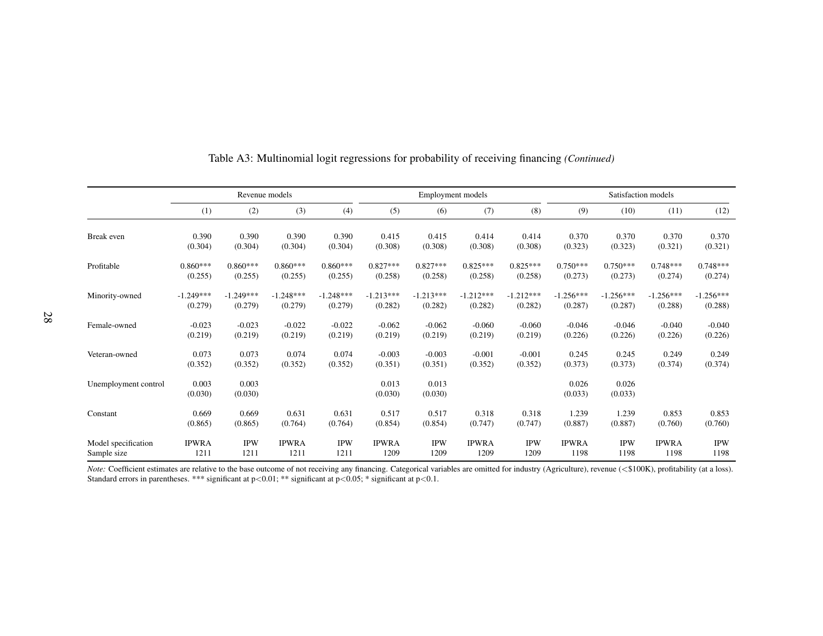|                      |                  |                  | Revenue models |             |                  |                  | Employment models |             | Satisfaction models |                  |              |             |
|----------------------|------------------|------------------|----------------|-------------|------------------|------------------|-------------------|-------------|---------------------|------------------|--------------|-------------|
|                      | (1)              | (2)              | (3)            | (4)         | (5)              | (6)              | (7)               | (8)         | (9)                 | (10)             | (11)         | (12)        |
| Break even           | 0.390            | 0.390            | 0.390          | 0.390       | 0.415            | 0.415            | 0.414             | 0.414       | 0.370               | 0.370            | 0.370        | 0.370       |
|                      | (0.304)          | (0.304)          | (0.304)        | (0.304)     | (0.308)          | (0.308)          | (0.308)           | (0.308)     | (0.323)             | (0.323)          | (0.321)      | (0.321)     |
| Profitable           | $0.860***$       | $0.860***$       | $0.860***$     | $0.860***$  | $0.827***$       | $0.827***$       | $0.825***$        | $0.825***$  | $0.750***$          | $0.750***$       | $0.748***$   | $0.748***$  |
|                      | (0.255)          | (0.255)          | (0.255)        | (0.255)     | (0.258)          | (0.258)          | (0.258)           | (0.258)     | (0.273)             | (0.273)          | (0.274)      | (0.274)     |
| Minority-owned       | $-1.249***$      | $-1.249***$      | $-1.248***$    | $-1.248***$ | $-1.213***$      | $-1.213***$      | $-1.212***$       | $-1.212***$ | $-1.256***$         | $-1.256***$      | $-1.256***$  | $-1.256***$ |
|                      | (0.279)          | (0.279)          | (0.279)        | (0.279)     | (0.282)          | (0.282)          | (0.282)           | (0.282)     | (0.287)             | (0.287)          | (0.288)      | (0.288)     |
| Female-owned         | $-0.023$         | $-0.023$         | $-0.022$       | $-0.022$    | $-0.062$         | $-0.062$         | $-0.060$          | $-0.060$    | $-0.046$            | $-0.046$         | $-0.040$     | $-0.040$    |
|                      | (0.219)          | (0.219)          | (0.219)        | (0.219)     | (0.219)          | (0.219)          | (0.219)           | (0.219)     | (0.226)             | (0.226)          | (0.226)      | (0.226)     |
| Veteran-owned        | 0.073            | 0.073            | 0.074          | 0.074       | $-0.003$         | $-0.003$         | $-0.001$          | $-0.001$    | 0.245               | 0.245            | 0.249        | 0.249       |
|                      | (0.352)          | (0.352)          | (0.352)        | (0.352)     | (0.351)          | (0.351)          | (0.352)           | (0.352)     | (0.373)             | (0.373)          | (0.374)      | (0.374)     |
| Unemployment control | 0.003<br>(0.030) | 0.003<br>(0.030) |                |             | 0.013<br>(0.030) | 0.013<br>(0.030) |                   |             | 0.026<br>(0.033)    | 0.026<br>(0.033) |              |             |
| Constant             | 0.669            | 0.669            | 0.631          | 0.631       | 0.517            | 0.517            | 0.318             | 0.318       | 1.239               | 1.239            | 0.853        | 0.853       |
|                      | (0.865)          | (0.865)          | (0.764)        | (0.764)     | (0.854)          | (0.854)          | (0.747)           | (0.747)     | (0.887)             | (0.887)          | (0.760)      | (0.760)     |
| Model specification  | <b>IPWRA</b>     | <b>IPW</b>       | <b>IPWRA</b>   | <b>IPW</b>  | <b>IPWRA</b>     | <b>IPW</b>       | <b>IPWRA</b>      | <b>IPW</b>  | <b>IPWRA</b>        | <b>IPW</b>       | <b>IPWRA</b> | <b>IPW</b>  |
| Sample size          | 1211             | 1211             | 1211           | 1211        | 1209             | 1209             | 1209              | 1209        | 1198                | 1198             | 1198         | 1198        |

## Table A3: Multinomial logit regressions for probability of receiving financing *(Continued)*

Note: Coefficient estimates are relative to the base outcome of not receiving any financing. Categorical variables are omitted for industry (Agriculture), revenue (<\$100K), profitability (at a loss). Standard errors in parentheses. \*\*\* significant at p<0.01; \*\* significant at p<0.05; \* significant at p<0.1.